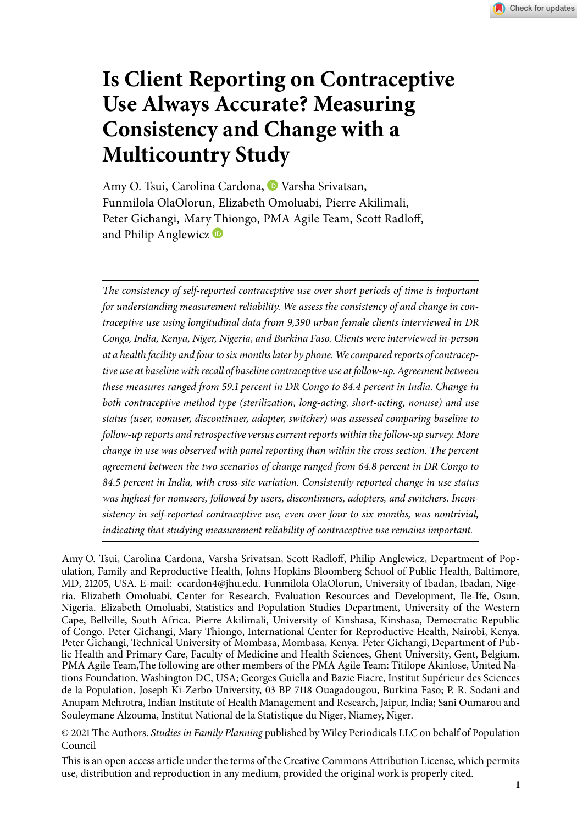# **Is Client Reporting on Contraceptive Use Always Accurate? Measuring Consistency and Change with a Multicountry Study**

Amy O. Tsui, Carolina Cardona, <sup>D</sup> Varsha Srivatsan, Funmilola OlaOlorun, Elizabeth Omoluabi, Pierre Akilimali, Peter Gichangi, Mary Thiongo, PMA Agile Team, Scott Radloff, and Philip Anglewicz **D** 

*The consistency of self-reported contraceptive use over short periods of time is important for understanding measurement reliability. We assess the consistency of and change in contraceptive use using longitudinal data from 9,390 urban female clients interviewed in DR Congo, India, Kenya, Niger, Nigeria, and Burkina Faso. Clients were interviewed in-person at a health facility and four to six months later by phone. We compared reports of contraceptive use at baseline with recall of baseline contraceptive use at follow-up. Agreement between these measures ranged from 59.1 percent in DR Congo to 84.4 percent in India. Change in both contraceptive method type (sterilization, long-acting, short-acting, nonuse) and use status (user, nonuser, discontinuer, adopter, switcher) was assessed comparing baseline to follow-up reports and retrospective versus current reports within the follow-up survey. More change in use was observed with panel reporting than within the cross section. The percent agreement between the two scenarios of change ranged from 64.8 percent in DR Congo to . percent in India, with cross-site variation. Consistently reported change in use status was highest for nonusers, followed by users, discontinuers, adopters, and switchers. Inconsistency in self-reported contraceptive use, even over four to six months, was nontrivial, indicating that studying measurement reliability of contraceptive use remains important.*

Amy O. Tsui, Carolina Cardona, Varsha Srivatsan, Scott Radloff, Philip Anglewicz, Department of Population, Family and Reproductive Health, Johns Hopkins Bloomberg School of Public Health, Baltimore, MD, 21205, USA. E-mail: ccardon4@jhu.edu. Funmilola OlaOlorun, University of Ibadan, Ibadan, Nigeria. Elizabeth Omoluabi, Center for Research, Evaluation Resources and Development, Ile-Ife, Osun, Nigeria. Elizabeth Omoluabi, Statistics and Population Studies Department, University of the Western Cape, Bellville, South Africa. Pierre Akilimali, University of Kinshasa, Kinshasa, Democratic Republic of Congo. Peter Gichangi, Mary Thiongo, International Center for Reproductive Health, Nairobi, Kenya. Peter Gichangi, Technical University of Mombasa, Mombasa, Kenya. Peter Gichangi, Department of Public Health and Primary Care, Faculty of Medicine and Health Sciences, Ghent University, Gent, Belgium. PMA Agile Team,The following are other members of the PMA Agile Team: Titilope Akinlose, United Nations Foundation, Washington DC, USA; Georges Guiella and Bazie Fiacre, Institut Supérieur des Sciences de la Population, Joseph Ki-Zerbo University, 03 BP 7118 Ouagadougou, Burkina Faso; P. R. Sodani and Anupam Mehrotra, Indian Institute of Health Management and Research, Jaipur, India; Sani Oumarou and Souleymane Alzouma, Institut National de la Statistique du Niger, Niamey, Niger.

© 2021 The Authors. *Studies in Family Planning* published by Wiley Periodicals LLC on behalf of Population Council

This is an open access article under the terms of the [Creative Commons Attribution](http://creativecommons.org/licenses/by/4.0/) License, which permits use, distribution and reproduction in any medium, provided the original work is properly cited.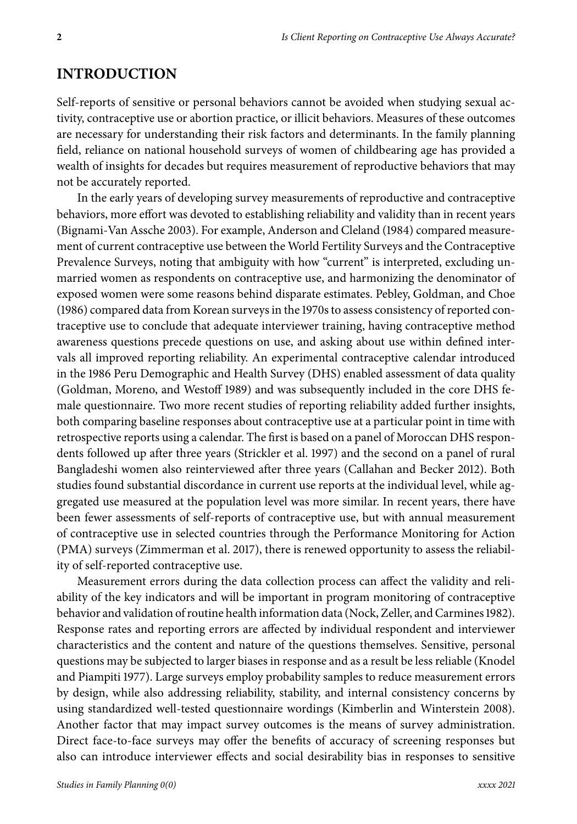### **INTRODUCTION**

Self-reports of sensitive or personal behaviors cannot be avoided when studying sexual activity, contraceptive use or abortion practice, or illicit behaviors. Measures of these outcomes are necessary for understanding their risk factors and determinants. In the family planning field, reliance on national household surveys of women of childbearing age has provided a wealth of insights for decades but requires measurement of reproductive behaviors that may not be accurately reported.

In the early years of developing survey measurements of reproductive and contraceptive behaviors, more effort was devoted to establishing reliability and validity than in recent years (Bignami-Van Assche 2003). For example, Anderson and Cleland (1984) compared measurement of current contraceptive use between the World Fertility Surveys and the Contraceptive Prevalence Surveys, noting that ambiguity with how "current" is interpreted, excluding unmarried women as respondents on contraceptive use, and harmonizing the denominator of exposed women were some reasons behind disparate estimates. Pebley, Goldman, and Choe (1986) compared data from Korean surveys in the 1970s to assess consistency of reported contraceptive use to conclude that adequate interviewer training, having contraceptive method awareness questions precede questions on use, and asking about use within defined intervals all improved reporting reliability. An experimental contraceptive calendar introduced in the 1986 Peru Demographic and Health Survey (DHS) enabled assessment of data quality (Goldman, Moreno, and Westoff 1989) and was subsequently included in the core DHS female questionnaire. Two more recent studies of reporting reliability added further insights, both comparing baseline responses about contraceptive use at a particular point in time with retrospective reports using a calendar. The first is based on a panel of Moroccan DHS respondents followed up after three years (Strickler et al. 1997) and the second on a panel of rural Bangladeshi women also reinterviewed after three years (Callahan and Becker 2012). Both studies found substantial discordance in current use reports at the individual level, while aggregated use measured at the population level was more similar. In recent years, there have been fewer assessments of self-reports of contraceptive use, but with annual measurement of contraceptive use in selected countries through the Performance Monitoring for Action (PMA) surveys (Zimmerman et al. 2017), there is renewed opportunity to assess the reliability of self-reported contraceptive use.

Measurement errors during the data collection process can affect the validity and reliability of the key indicators and will be important in program monitoring of contraceptive behavior and validation of routine health information data (Nock, Zeller, and Carmines 1982). Response rates and reporting errors are affected by individual respondent and interviewer characteristics and the content and nature of the questions themselves. Sensitive, personal questions may be subjected to larger biases in response and as a result be less reliable (Knodel and Piampiti 1977). Large surveys employ probability samples to reduce measurement errors by design, while also addressing reliability, stability, and internal consistency concerns by using standardized well-tested questionnaire wordings (Kimberlin and Winterstein 2008). Another factor that may impact survey outcomes is the means of survey administration. Direct face-to-face surveys may offer the benefits of accuracy of screening responses but also can introduce interviewer effects and social desirability bias in responses to sensitive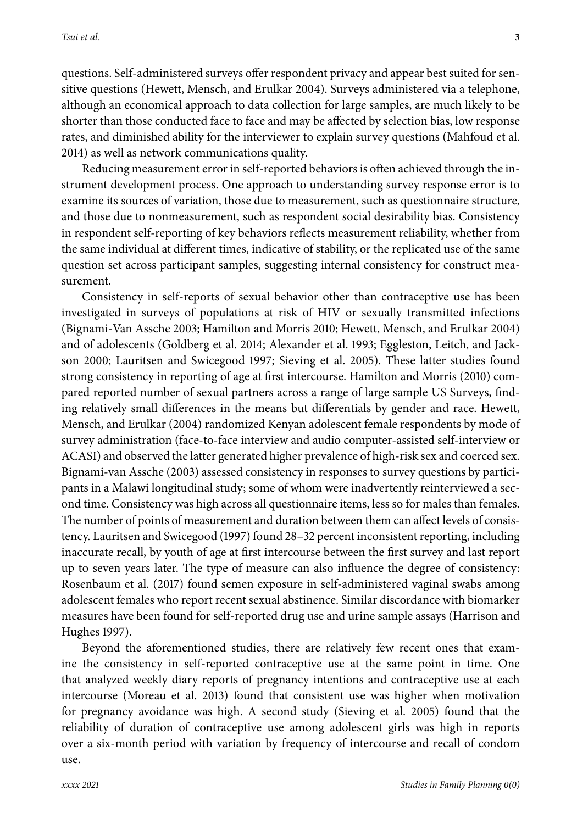questions. Self-administered surveys offer respondent privacy and appear best suited for sensitive questions (Hewett, Mensch, and Erulkar 2004). Surveys administered via a telephone, although an economical approach to data collection for large samples, are much likely to be shorter than those conducted face to face and may be affected by selection bias, low response rates, and diminished ability for the interviewer to explain survey questions (Mahfoud et al. 2014) as well as network communications quality.

Reducing measurement error in self-reported behaviors is often achieved through the instrument development process. One approach to understanding survey response error is to examine its sources of variation, those due to measurement, such as questionnaire structure, and those due to nonmeasurement, such as respondent social desirability bias. Consistency in respondent self-reporting of key behaviors reflects measurement reliability, whether from the same individual at different times, indicative of stability, or the replicated use of the same question set across participant samples, suggesting internal consistency for construct measurement.

Consistency in self-reports of sexual behavior other than contraceptive use has been investigated in surveys of populations at risk of HIV or sexually transmitted infections (Bignami-Van Assche 2003; Hamilton and Morris 2010; Hewett, Mensch, and Erulkar 2004) and of adolescents (Goldberg et al. 2014; Alexander et al. 1993; Eggleston, Leitch, and Jackson 2000; Lauritsen and Swicegood 1997; Sieving et al. 2005). These latter studies found strong consistency in reporting of age at first intercourse. Hamilton and Morris (2010) compared reported number of sexual partners across a range of large sample US Surveys, finding relatively small differences in the means but differentials by gender and race. Hewett, Mensch, and Erulkar (2004) randomized Kenyan adolescent female respondents by mode of survey administration (face-to-face interview and audio computer-assisted self-interview or ACASI) and observed the latter generated higher prevalence of high-risk sex and coerced sex. Bignami-van Assche (2003) assessed consistency in responses to survey questions by participants in a Malawi longitudinal study; some of whom were inadvertently reinterviewed a second time. Consistency was high across all questionnaire items, less so for males than females. The number of points of measurement and duration between them can affect levels of consistency. Lauritsen and Swicegood (1997) found 28–32 percent inconsistent reporting, including inaccurate recall, by youth of age at first intercourse between the first survey and last report up to seven years later. The type of measure can also influence the degree of consistency: Rosenbaum et al. (2017) found semen exposure in self-administered vaginal swabs among adolescent females who report recent sexual abstinence. Similar discordance with biomarker measures have been found for self-reported drug use and urine sample assays (Harrison and Hughes 1997).

Beyond the aforementioned studies, there are relatively few recent ones that examine the consistency in self-reported contraceptive use at the same point in time. One that analyzed weekly diary reports of pregnancy intentions and contraceptive use at each intercourse (Moreau et al. 2013) found that consistent use was higher when motivation for pregnancy avoidance was high. A second study (Sieving et al. 2005) found that the reliability of duration of contraceptive use among adolescent girls was high in reports over a six-month period with variation by frequency of intercourse and recall of condom use.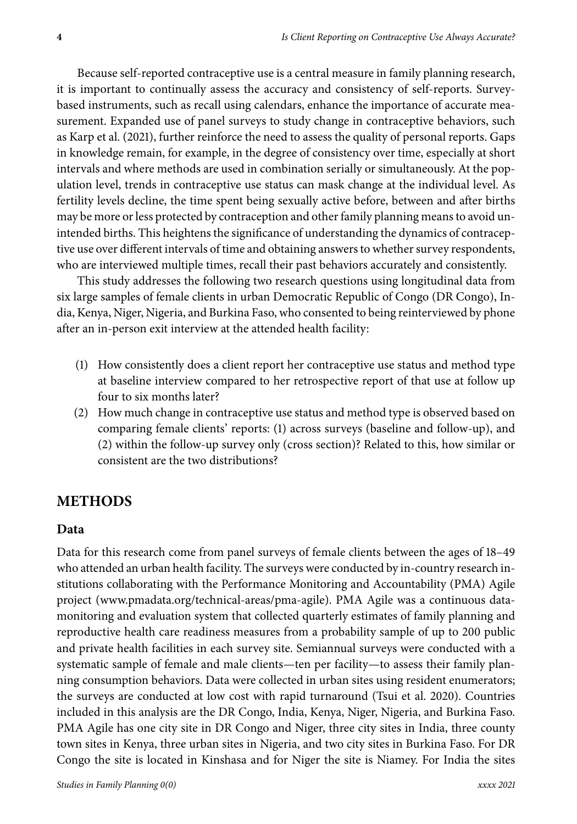Because self-reported contraceptive use is a central measure in family planning research, it is important to continually assess the accuracy and consistency of self-reports. Surveybased instruments, such as recall using calendars, enhance the importance of accurate measurement. Expanded use of panel surveys to study change in contraceptive behaviors, such as Karp et al. (2021), further reinforce the need to assess the quality of personal reports. Gaps in knowledge remain, for example, in the degree of consistency over time, especially at short intervals and where methods are used in combination serially or simultaneously. At the population level, trends in contraceptive use status can mask change at the individual level. As fertility levels decline, the time spent being sexually active before, between and after births may be more or less protected by contraception and other family planning means to avoid unintended births. This heightens the significance of understanding the dynamics of contraceptive use over different intervals of time and obtaining answers to whether survey respondents, who are interviewed multiple times, recall their past behaviors accurately and consistently.

This study addresses the following two research questions using longitudinal data from six large samples of female clients in urban Democratic Republic of Congo (DR Congo), India, Kenya, Niger, Nigeria, and Burkina Faso, who consented to being reinterviewed by phone after an in-person exit interview at the attended health facility:

- (1) How consistently does a client report her contraceptive use status and method type at baseline interview compared to her retrospective report of that use at follow up four to six months later?
- (2) How much change in contraceptive use status and method type is observed based on comparing female clients' reports: (1) across surveys (baseline and follow-up), and (2) within the follow-up survey only (cross section)? Related to this, how similar or consistent are the two distributions?

## **METHODS**

#### **Data**

Data for this research come from panel surveys of female clients between the ages of 18–49 who attended an urban health facility. The surveys were conducted by in-country research institutions collaborating with the Performance Monitoring and Accountability (PMA) Agile project [\(www.pmadata.org/technical-areas/pma-agile\)](http://www.pmadata.org/technical-areas/pma-agile). PMA Agile was a continuous datamonitoring and evaluation system that collected quarterly estimates of family planning and reproductive health care readiness measures from a probability sample of up to 200 public and private health facilities in each survey site. Semiannual surveys were conducted with a systematic sample of female and male clients—ten per facility—to assess their family planning consumption behaviors. Data were collected in urban sites using resident enumerators; the surveys are conducted at low cost with rapid turnaround (Tsui et al. 2020). Countries included in this analysis are the DR Congo, India, Kenya, Niger, Nigeria, and Burkina Faso. PMA Agile has one city site in DR Congo and Niger, three city sites in India, three county town sites in Kenya, three urban sites in Nigeria, and two city sites in Burkina Faso. For DR Congo the site is located in Kinshasa and for Niger the site is Niamey. For India the sites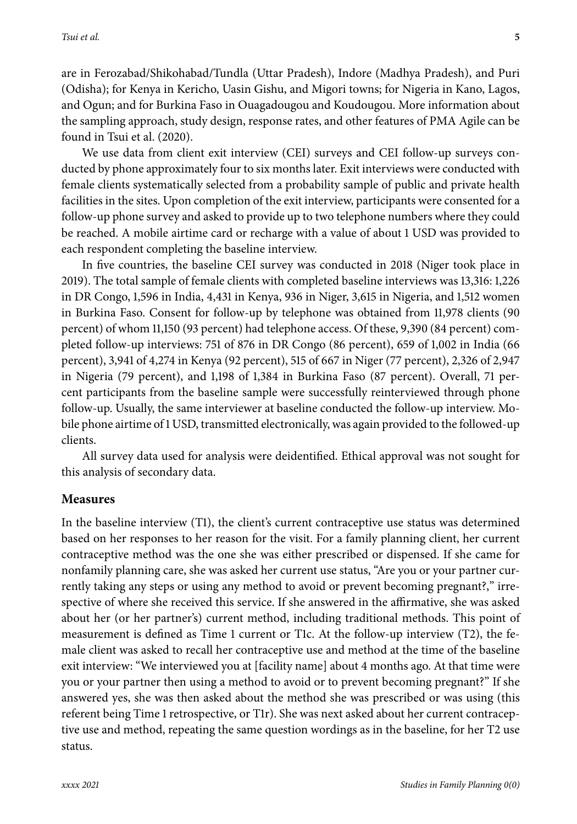are in Ferozabad/Shikohabad/Tundla (Uttar Pradesh), Indore (Madhya Pradesh), and Puri (Odisha); for Kenya in Kericho, Uasin Gishu, and Migori towns; for Nigeria in Kano, Lagos, and Ogun; and for Burkina Faso in Ouagadougou and Koudougou. More information about the sampling approach, study design, response rates, and other features of PMA Agile can be found in Tsui et al. (2020).

We use data from client exit interview (CEI) surveys and CEI follow-up surveys conducted by phone approximately four to six months later. Exit interviews were conducted with female clients systematically selected from a probability sample of public and private health facilities in the sites. Upon completion of the exit interview, participants were consented for a follow-up phone survey and asked to provide up to two telephone numbers where they could be reached. A mobile airtime card or recharge with a value of about 1 USD was provided to each respondent completing the baseline interview.

In five countries, the baseline CEI survey was conducted in 2018 (Niger took place in 2019). The total sample of female clients with completed baseline interviews was 13,316: 1,226 in DR Congo, 1,596 in India, 4,431 in Kenya, 936 in Niger, 3,615 in Nigeria, and 1,512 women in Burkina Faso. Consent for follow-up by telephone was obtained from 11,978 clients (90 percent) of whom 11,150 (93 percent) had telephone access. Of these, 9,390 (84 percent) completed follow-up interviews: 751 of 876 in DR Congo (86 percent), 659 of 1,002 in India (66 percent), 3,941 of 4,274 in Kenya (92 percent), 515 of 667 in Niger (77 percent), 2,326 of 2,947 in Nigeria (79 percent), and 1,198 of 1,384 in Burkina Faso (87 percent). Overall, 71 percent participants from the baseline sample were successfully reinterviewed through phone follow-up. Usually, the same interviewer at baseline conducted the follow-up interview. Mobile phone airtime of 1 USD, transmitted electronically, was again provided to the followed-up clients.

All survey data used for analysis were deidentified. Ethical approval was not sought for this analysis of secondary data.

#### **Measures**

In the baseline interview (T1), the client's current contraceptive use status was determined based on her responses to her reason for the visit. For a family planning client, her current contraceptive method was the one she was either prescribed or dispensed. If she came for nonfamily planning care, she was asked her current use status, "Are you or your partner currently taking any steps or using any method to avoid or prevent becoming pregnant?," irrespective of where she received this service. If she answered in the affirmative, she was asked about her (or her partner's) current method, including traditional methods. This point of measurement is defined as Time 1 current or T1c. At the follow-up interview (T2), the female client was asked to recall her contraceptive use and method at the time of the baseline exit interview: "We interviewed you at [facility name] about 4 months ago. At that time were you or your partner then using a method to avoid or to prevent becoming pregnant?" If she answered yes, she was then asked about the method she was prescribed or was using (this referent being Time 1 retrospective, or T1r). She was next asked about her current contraceptive use and method, repeating the same question wordings as in the baseline, for her T2 use status.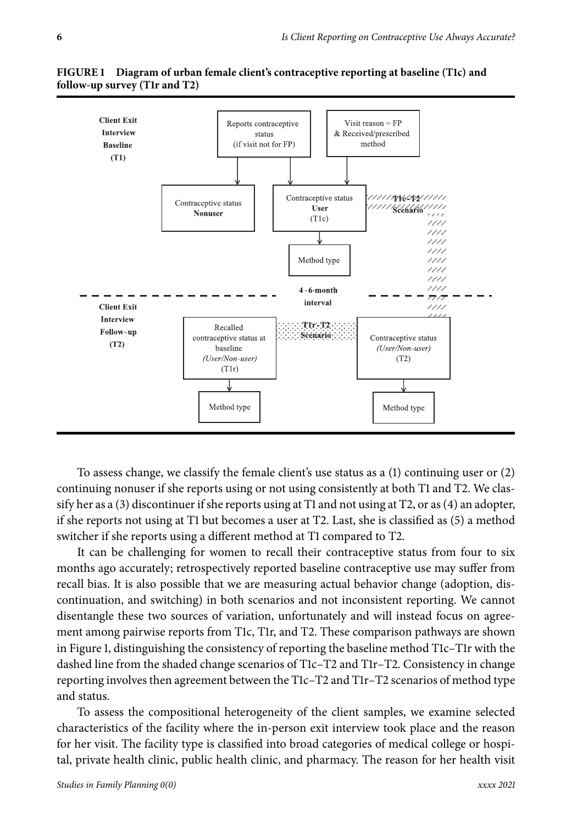

FIGURE 1 Diagram of urban female client's contraceptive reporting at baseline (T1c) and follow-up survey (T1r and T2)

To assess change, we classify the female client's use status as a (1) continuing user or (2) continuing nonuser if she reports using or not using consistently at both T1 and T2. We classify her as a (3) discontinuer if she reports using at T1 and not using at T2, or as (4) an adopter, if she reports not using at T1 but becomes a user at T2. Last, she is classified as (5) a method switcher if she reports using a different method at T1 compared to T2.

It can be challenging for women to recall their contraceptive status from four to six months ago accurately; retrospectively reported baseline contraceptive use may suffer from recall bias. It is also possible that we are measuring actual behavior change (adoption, discontinuation, and switching) in both scenarios and not inconsistent reporting. We cannot disentangle these two sources of variation, unfortunately and will instead focus on agreement among pairwise reports from T1c, T1r, and T2. These comparison pathways are shown in Figure 1, distinguishing the consistency of reporting the baseline method T1c–T1r with the dashed line from the shaded change scenarios of T1c–T2 and T1r–T2. Consistency in change reporting involves then agreement between the T1c–T2 and T1r–T2 scenarios of method type and status.

To assess the compositional heterogeneity of the client samples, we examine selected characteristics of the facility where the in-person exit interview took place and the reason for her visit. The facility type is classified into broad categories of medical college or hospital, private health clinic, public health clinic, and pharmacy. The reason for her health visit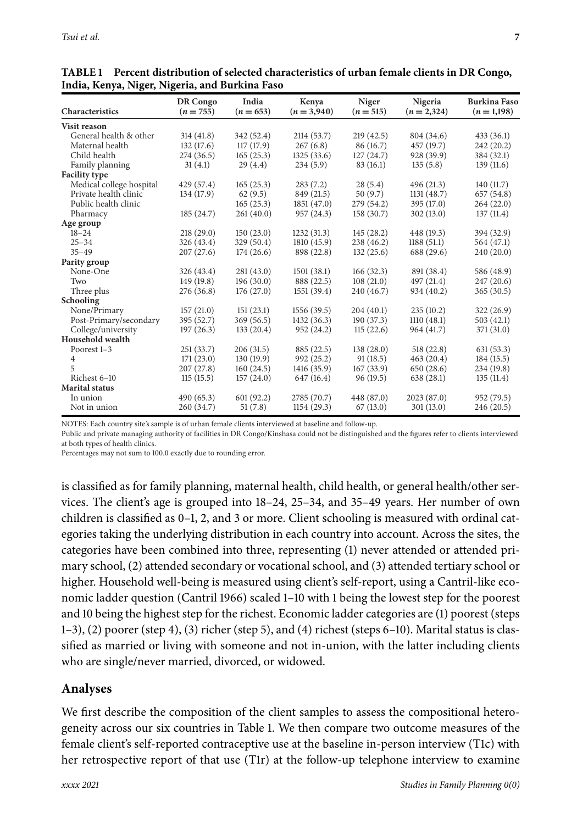| Characteristics          | DR Congo<br>$(n = 755)$ | India<br>$(n = 653)$ | Kenya<br>$(n=3,940)$ | Niger<br>$(n = 515)$ | Nigeria<br>$(n = 2,324)$ | <b>Burkina Faso</b><br>$(n=1,198)$ |
|--------------------------|-------------------------|----------------------|----------------------|----------------------|--------------------------|------------------------------------|
|                          |                         |                      |                      |                      |                          |                                    |
| Visit reason             |                         |                      |                      |                      |                          |                                    |
| General health & other   | 314(41.8)               | 342 (52.4)           | 2114 (53.7)          | 219(42.5)            | 804 (34.6)               | 433(36.1)                          |
| Maternal health          | 132(17.6)               | 117(17.9)            | 267(6.8)             | 86 (16.7)            | 457 (19.7)               | 242(20.2)                          |
| Child health             | 274 (36.5)              | 165(25.3)            | 1325(33.6)           | 127(24.7)            | 928 (39.9)               | 384 (32.1)                         |
| Family planning          | 31(4.1)                 | 29(4.4)              | 234(5.9)             | 83 (16.1)            | 135(5.8)                 | 139(11.6)                          |
| <b>Facility type</b>     |                         |                      |                      |                      |                          |                                    |
| Medical college hospital | 429(57.4)               | 165(25.3)            | 283(7.2)             | 28(5.4)              | 496 (21.3)               | 140(11.7)                          |
| Private health clinic    | 134 (17.9)              | 62(9.5)              | 849 (21.5)           | 50(9.7)              | 1131(48.7)               | 657 (54.8)                         |
| Public health clinic     |                         | 165(25.3)            | 1851(47.0)           | 279 (54.2)           | 395(17.0)                | 264(22.0)                          |
| Pharmacy                 | 185(24.7)               | 261(40.0)            | 957 (24.3)           | 158(30.7)            | 302(13.0)                | 137(11.4)                          |
| Age group                |                         |                      |                      |                      |                          |                                    |
| $18 - 24$                | 218(29.0)               | 150(23.0)            | 1232(31.3)           | 145(28.2)            | 448 (19.3)               | 394 (32.9)                         |
| $25 - 34$                | 326 (43.4)              | 329 (50.4)           | 1810 (45.9)          | 238 (46.2)           | 1188(51.1)               | 564 (47.1)                         |
| $35 - 49$                | 207(27.6)               | 174(26.6)            | 898 (22.8)           | 132(25.6)            | 688 (29.6)               | 240(20.0)                          |
| Parity group             |                         |                      |                      |                      |                          |                                    |
| None-One                 | 326 (43.4)              | 281(43.0)            | 1501(38.1)           | 166(32.3)            | 891 (38.4)               | 586 (48.9)                         |
| Two                      | 149(19.8)               | 196(30.0)            | 888 (22.5)           | 108(21.0)            | 497 (21.4)               | 247(20.6)                          |
| Three plus               | 276 (36.8)              | 176(27.0)            | 1551(39.4)           | 240 (46.7)           | 934 (40.2)               | 365(30.5)                          |
| Schooling                |                         |                      |                      |                      |                          |                                    |
| None/Primary             | 157(21.0)               | 151(23.1)            | 1556 (39.5)          | 204(40.1)            | 235(10.2)                | 322(26.9)                          |
| Post-Primary/secondary   | 395 (52.7)              | 369 (56.5)           | 1432 (36.3)          | 190(37.3)            | 1110(48.1)               | 503(42.1)                          |
| College/university       | 197(26.3)               | 133(20.4)            | 952 (24.2)           | 115(22.6)            | 964 (41.7)               | 371 (31.0)                         |
| Household wealth         |                         |                      |                      |                      |                          |                                    |
| Poorest 1-3              | 251(33.7)               | 206(31.5)            | 885 (22.5)           | 138(28.0)            | 518(22.8)                | 631(53.3)                          |
| 4                        | 171(23.0)               | 130(19.9)            | 992 (25.2)           | 91(18.5)             | 463(20.4)                | 184(15.5)                          |
| 5                        | 207(27.8)               | 160(24.5)            | 1416 (35.9)          | 167(33.9)            | 650(28.6)                | 234 (19.8)                         |
| Richest 6-10             | 115(15.5)               | 157(24.0)            | 647 (16.4)           | 96(19.5)             | 638(28.1)                | 135(11.4)                          |
| <b>Marital status</b>    |                         |                      |                      |                      |                          |                                    |
| In union                 | 490(65.3)               | 601(92.2)            | 2785 (70.7)          | 448 (87.0)           | 2023 (87.0)              | 952 (79.5)                         |
| Not in union             | 260 (34.7)              | 51(7.8)              | 1154(29.3)           | 67(13.0)             | 301(13.0)                | 246 (20.5)                         |

**TABLE Percent distribution of selected characteristics of urban female clients in DR Congo, India, Kenya, Niger, Nigeria, and Burkina Faso**

NOTES: Each country site's sample is of urban female clients interviewed at baseline and follow-up.

Public and private managing authority of facilities in DR Congo/Kinshasa could not be distinguished and the figures refer to clients interviewed at both types of health clinics.

Percentages may not sum to 100.0 exactly due to rounding error.

is classified as for family planning, maternal health, child health, or general health/other services. The client's age is grouped into 18–24, 25–34, and 35–49 years. Her number of own children is classified as 0–1, 2, and 3 or more. Client schooling is measured with ordinal categories taking the underlying distribution in each country into account. Across the sites, the categories have been combined into three, representing (1) never attended or attended primary school, (2) attended secondary or vocational school, and (3) attended tertiary school or higher. Household well-being is measured using client's self-report, using a Cantril-like economic ladder question (Cantril 1966) scaled 1–10 with 1 being the lowest step for the poorest and 10 being the highest step for the richest. Economic ladder categories are (1) poorest (steps 1–3), (2) poorer (step 4), (3) richer (step 5), and (4) richest (steps 6–10). Marital status is classified as married or living with someone and not in-union, with the latter including clients who are single/never married, divorced, or widowed.

#### **Analyses**

We first describe the composition of the client samples to assess the compositional heterogeneity across our six countries in Table 1. We then compare two outcome measures of the female client's self-reported contraceptive use at the baseline in-person interview (T1c) with her retrospective report of that use (T1r) at the follow-up telephone interview to examine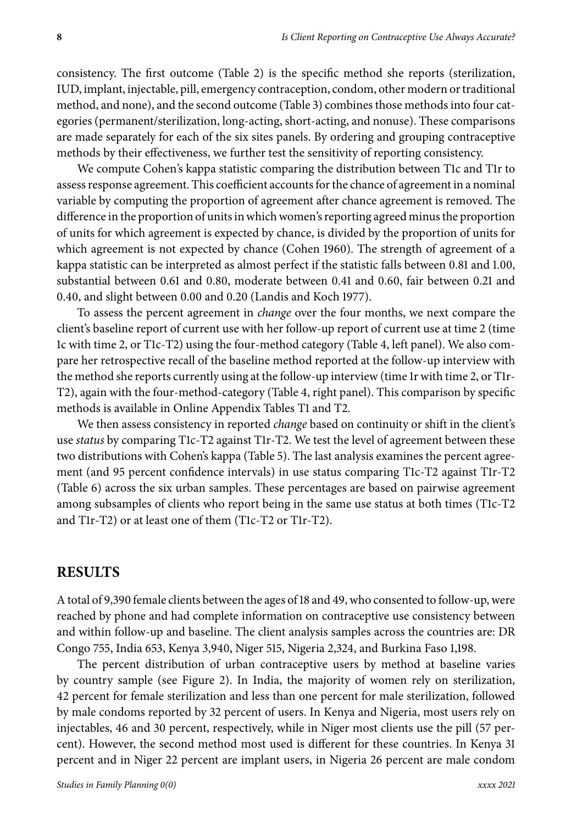consistency. The first outcome (Table 2) is the specific method she reports (sterilization, IUD, implant, injectable, pill, emergency contraception, condom, other modern or traditional method, and none), and the second outcome (Table 3) combines those methods into four categories (permanent/sterilization, long-acting, short-acting, and nonuse). These comparisons are made separately for each of the six sites panels. By ordering and grouping contraceptive methods by their effectiveness, we further test the sensitivity of reporting consistency.

We compute Cohen's kappa statistic comparing the distribution between T1c and T1r to assess response agreement. This coefficient accounts for the chance of agreement in a nominal variable by computing the proportion of agreement after chance agreement is removed. The difference in the proportion of units in which women's reporting agreed minus the proportion of units for which agreement is expected by chance, is divided by the proportion of units for which agreement is not expected by chance (Cohen 1960). The strength of agreement of a kappa statistic can be interpreted as almost perfect if the statistic falls between 0.81 and 1.00, substantial between 0.61 and 0.80, moderate between 0.41 and 0.60, fair between 0.21 and 0.40, and slight between 0.00 and 0.20 (Landis and Koch 1977).

To assess the percent agreement in *change* over the four months, we next compare the client's baseline report of current use with her follow-up report of current use at time 2 (time 1c with time 2, or T1c-T2) using the four-method category (Table 4, left panel). We also compare her retrospective recall of the baseline method reported at the follow-up interview with the method she reports currently using at the follow-up interview (time 1r with time 2, or T1r-T2), again with the four-method-category (Table 4, right panel). This comparison by specific methods is available in Online Appendix Tables T1 and T2.

We then assess consistency in reported *change* based on continuity or shift in the client's use *status* by comparing T1c-T2 against T1r-T2. We test the level of agreement between these two distributions with Cohen's kappa (Table 5). The last analysis examines the percent agreement (and 95 percent confidence intervals) in use status comparing T1c-T2 against T1r-T2 (Table 6) across the six urban samples. These percentages are based on pairwise agreement among subsamples of clients who report being in the same use status at both times (T1c-T2 and T1r-T2) or at least one of them (T1c-T2 or T1r-T2).

### **RESULTS**

A total of 9,390 female clients between the ages of 18 and 49, who consented to follow-up, were reached by phone and had complete information on contraceptive use consistency between and within follow-up and baseline. The client analysis samples across the countries are: DR Congo 755, India 653, Kenya 3,940, Niger 515, Nigeria 2,324, and Burkina Faso 1,198.

The percent distribution of urban contraceptive users by method at baseline varies by country sample (see Figure 2). In India, the majority of women rely on sterilization, 42 percent for female sterilization and less than one percent for male sterilization, followed by male condoms reported by 32 percent of users. In Kenya and Nigeria, most users rely on injectables, 46 and 30 percent, respectively, while in Niger most clients use the pill (57 percent). However, the second method most used is different for these countries. In Kenya 31 percent and in Niger 22 percent are implant users, in Nigeria 26 percent are male condom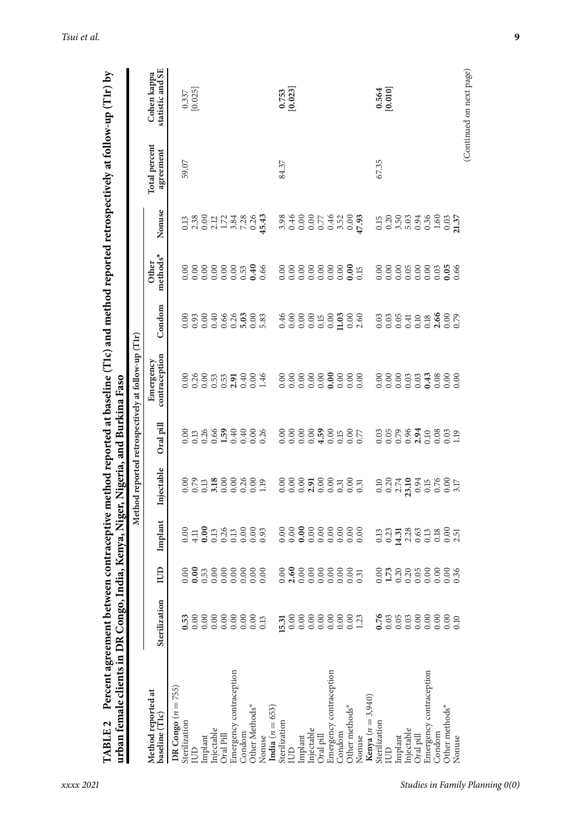| urban female clients in DR Congo, Ind<br>TABLE <sub>2</sub> | Percent agreement between |   |                                        | ia, Kenya, Niger, Nigeria, and Burkina Faso                          |              | contraceptive method reported at baseline (Tic) and method reported retrospectively at follow-up (Tir) by |                                                                                                                                                                                                                                                                                                               |                           |                                                                                                                                                                                                                                                                                               |                                   |                                               |
|-------------------------------------------------------------|---------------------------|---|----------------------------------------|----------------------------------------------------------------------|--------------|-----------------------------------------------------------------------------------------------------------|---------------------------------------------------------------------------------------------------------------------------------------------------------------------------------------------------------------------------------------------------------------------------------------------------------------|---------------------------|-----------------------------------------------------------------------------------------------------------------------------------------------------------------------------------------------------------------------------------------------------------------------------------------------|-----------------------------------|-----------------------------------------------|
|                                                             |                           |   |                                        |                                                                      |              | Method reported retrospectively at follow-up (Tlr)                                                        |                                                                                                                                                                                                                                                                                                               |                           |                                                                                                                                                                                                                                                                                               |                                   |                                               |
| Method reported at<br>baseline (T1c)                        | Sterilization             | B | Implant                                | Injectable                                                           | Oral pill    | contraception<br>Emergency                                                                                | Condom                                                                                                                                                                                                                                                                                                        | methods*<br><b>Other</b>  | Nonuse                                                                                                                                                                                                                                                                                        | <b>Total</b> percent<br>agreement | statistic and SE<br>Cohen kappa               |
| DR Congo $(n = 755)$                                        |                           |   |                                        |                                                                      |              |                                                                                                           |                                                                                                                                                                                                                                                                                                               |                           |                                                                                                                                                                                                                                                                                               |                                   |                                               |
| Sterilization                                               | 0.53                      |   |                                        |                                                                      |              |                                                                                                           |                                                                                                                                                                                                                                                                                                               |                           |                                                                                                                                                                                                                                                                                               | 59.07                             | $\begin{array}{c} 0.337 \\ 0.025 \end{array}$ |
| <b>LUD</b>                                                  |                           |   |                                        |                                                                      |              |                                                                                                           |                                                                                                                                                                                                                                                                                                               |                           |                                                                                                                                                                                                                                                                                               |                                   |                                               |
| Implant                                                     |                           |   |                                        |                                                                      |              |                                                                                                           |                                                                                                                                                                                                                                                                                                               |                           |                                                                                                                                                                                                                                                                                               |                                   |                                               |
| Injectable                                                  |                           |   |                                        |                                                                      |              |                                                                                                           |                                                                                                                                                                                                                                                                                                               |                           |                                                                                                                                                                                                                                                                                               |                                   |                                               |
| Oral Pill                                                   |                           |   |                                        |                                                                      |              |                                                                                                           |                                                                                                                                                                                                                                                                                                               |                           |                                                                                                                                                                                                                                                                                               |                                   |                                               |
| Emergency contraception                                     |                           |   | $0.40014$ $0.3000000$<br>$0.400000000$ |                                                                      | 001366990036 | 0.88883778884                                                                                             |                                                                                                                                                                                                                                                                                                               |                           | $3.3802177480343$<br>$3.300177480364$                                                                                                                                                                                                                                                         |                                   |                                               |
| Condom                                                      |                           |   |                                        |                                                                      |              |                                                                                                           |                                                                                                                                                                                                                                                                                                               |                           |                                                                                                                                                                                                                                                                                               |                                   |                                               |
| Other Methods*                                              |                           |   |                                        |                                                                      |              |                                                                                                           |                                                                                                                                                                                                                                                                                                               |                           |                                                                                                                                                                                                                                                                                               |                                   |                                               |
| Nonuse                                                      |                           |   |                                        |                                                                      |              |                                                                                                           |                                                                                                                                                                                                                                                                                                               |                           |                                                                                                                                                                                                                                                                                               |                                   |                                               |
| India $(n = 653)$                                           |                           |   |                                        |                                                                      |              |                                                                                                           |                                                                                                                                                                                                                                                                                                               |                           |                                                                                                                                                                                                                                                                                               |                                   |                                               |
| Sterilization                                               | 15.31                     |   |                                        |                                                                      |              |                                                                                                           |                                                                                                                                                                                                                                                                                                               |                           |                                                                                                                                                                                                                                                                                               | 84.37                             |                                               |
| m                                                           | 0.00                      |   |                                        |                                                                      |              |                                                                                                           |                                                                                                                                                                                                                                                                                                               |                           |                                                                                                                                                                                                                                                                                               |                                   | $\begin{array}{c} 0.753 \\ 0.023 \end{array}$ |
| Implant                                                     | 0.00                      |   |                                        |                                                                      |              |                                                                                                           |                                                                                                                                                                                                                                                                                                               |                           |                                                                                                                                                                                                                                                                                               |                                   |                                               |
| Injectable                                                  | 0.00                      |   |                                        |                                                                      |              |                                                                                                           |                                                                                                                                                                                                                                                                                                               |                           | $\begin{array}{c} 8.96 \\ 0.000 \\ 0.0000 \\ 0.0000 \\ 0.0000 \\ 0.0000 \\ 0.0000 \\ 0.0000 \\ 0.0000 \\ 0.0000 \\ 0.0000 \\ 0.0000 \\ 0.0000 \\ 0.0000 \\ 0.0000 \\ 0.0000 \\ 0.0000 \\ 0.0000 \\ 0.0000 \\ 0.0000 \\ 0.0000 \\ 0.0000 \\ 0.0000 \\ 0.0000 \\ 0.0000 \\ 0.0000 \\ 0.0000 \\$ |                                   |                                               |
| Oral pill                                                   | 0.00                      |   |                                        |                                                                      |              |                                                                                                           |                                                                                                                                                                                                                                                                                                               |                           |                                                                                                                                                                                                                                                                                               |                                   |                                               |
| Emergency contraception                                     | 0.00                      |   |                                        |                                                                      |              |                                                                                                           |                                                                                                                                                                                                                                                                                                               |                           |                                                                                                                                                                                                                                                                                               |                                   |                                               |
| Condom                                                      | 0.00                      |   |                                        |                                                                      |              |                                                                                                           |                                                                                                                                                                                                                                                                                                               |                           |                                                                                                                                                                                                                                                                                               |                                   |                                               |
| Other methods*                                              | $0.00$<br>1.23            |   |                                        |                                                                      |              |                                                                                                           |                                                                                                                                                                                                                                                                                                               |                           |                                                                                                                                                                                                                                                                                               |                                   |                                               |
| Nonuse                                                      |                           |   |                                        |                                                                      |              |                                                                                                           | $\begin{array}{l} 0.46 \\ 0.00 \\ 0.01 \\ 0.00 \\ 0.01 \\ 0.00 \\ 0.01 \\ 0.00 \\ 0.00 \\ 0.00 \\ 0.00 \\ 0.00 \\ 0.00 \\ 0.00 \\ 0.00 \\ 0.00 \\ 0.00 \\ 0.00 \\ 0.00 \\ 0.00 \\ 0.00 \\ 0.00 \\ 0.00 \\ 0.00 \\ 0.00 \\ 0.00 \\ 0.00 \\ 0.00 \\ 0.00 \\ 0.00 \\ 0.00 \\ 0.00 \\ 0.00 \\ 0.00 \\ 0.00 \\ 0.$ |                           |                                                                                                                                                                                                                                                                                               |                                   |                                               |
| <b>Kenya</b> $(n = 3,940)$                                  |                           |   |                                        |                                                                      |              |                                                                                                           |                                                                                                                                                                                                                                                                                                               |                           |                                                                                                                                                                                                                                                                                               |                                   |                                               |
| Sterilization                                               | 0.76                      |   |                                        |                                                                      |              |                                                                                                           |                                                                                                                                                                                                                                                                                                               |                           |                                                                                                                                                                                                                                                                                               | 67.35                             |                                               |
| m                                                           |                           |   |                                        |                                                                      |              |                                                                                                           |                                                                                                                                                                                                                                                                                                               |                           |                                                                                                                                                                                                                                                                                               |                                   | [0.564]                                       |
| Implant                                                     |                           |   |                                        |                                                                      |              |                                                                                                           |                                                                                                                                                                                                                                                                                                               |                           |                                                                                                                                                                                                                                                                                               |                                   |                                               |
| Injectable                                                  |                           |   |                                        |                                                                      |              |                                                                                                           |                                                                                                                                                                                                                                                                                                               |                           |                                                                                                                                                                                                                                                                                               |                                   |                                               |
| Oral pill                                                   |                           |   |                                        |                                                                      |              |                                                                                                           |                                                                                                                                                                                                                                                                                                               |                           |                                                                                                                                                                                                                                                                                               |                                   |                                               |
| Emergency contraception                                     |                           |   | 33538633885<br>335386338               | $0.30$<br>$0.374$<br>$0.394$<br>$0.54$<br>$0.56$<br>$0.56$<br>$0.51$ |              | $\begin{array}{c} 888800 \\ 0.00000 \\ 0.00000 \\ \end{array}$                                            |                                                                                                                                                                                                                                                                                                               | 8888888888<br>00000000000 |                                                                                                                                                                                                                                                                                               |                                   |                                               |
| Condom                                                      | 0.00                      |   |                                        |                                                                      |              |                                                                                                           |                                                                                                                                                                                                                                                                                                               |                           |                                                                                                                                                                                                                                                                                               |                                   |                                               |
| Other methods*                                              |                           |   |                                        |                                                                      |              |                                                                                                           |                                                                                                                                                                                                                                                                                                               |                           |                                                                                                                                                                                                                                                                                               |                                   |                                               |
| Nonuse                                                      |                           |   |                                        |                                                                      |              |                                                                                                           |                                                                                                                                                                                                                                                                                                               |                           |                                                                                                                                                                                                                                                                                               |                                   |                                               |
|                                                             |                           |   |                                        |                                                                      |              |                                                                                                           |                                                                                                                                                                                                                                                                                                               |                           |                                                                                                                                                                                                                                                                                               |                                   | (Continued on next page)                      |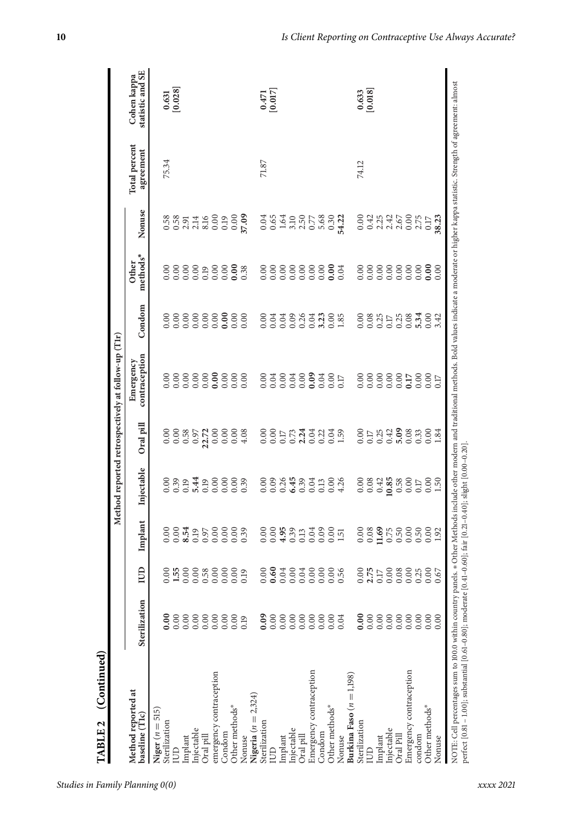| (Continued)<br>TABLE <sub>2</sub>                                                                                                                                                                                                                                                                                             |                |                                                                                |                            |                                                     |           | Method reported retrospectively at follow-up (Tlr) |                             |                          |                                |                                   |                                                |
|-------------------------------------------------------------------------------------------------------------------------------------------------------------------------------------------------------------------------------------------------------------------------------------------------------------------------------|----------------|--------------------------------------------------------------------------------|----------------------------|-----------------------------------------------------|-----------|----------------------------------------------------|-----------------------------|--------------------------|--------------------------------|-----------------------------------|------------------------------------------------|
| Method reported at<br>baseline (T1c)                                                                                                                                                                                                                                                                                          | Sterilization  | IUD                                                                            | Implant                    | Injectable                                          | Oral pill | contraception<br>Emergency                         | Condom                      | methods*<br>Other        | Nonuse                         | <b>Total</b> percent<br>agreement | statistic and SE<br>Cohen kappa                |
| Niger $(n = 515)$<br>Sterilization                                                                                                                                                                                                                                                                                            | $\frac{8}{10}$ |                                                                                |                            | 0.00                                                |           |                                                    | 0.00                        |                          |                                | 75.34                             |                                                |
| E                                                                                                                                                                                                                                                                                                                             | 0.00           | $\begin{array}{c} 0.000000 \\ 0.000000 \\ 0.000000 \\ 0.000000 \\ \end{array}$ |                            | 0.39                                                |           | 8888888888<br>00000000000                          | 0.00                        |                          | 8.88514689260<br>0.88514689260 |                                   | $\begin{bmatrix} 0.631 \\ 0.028 \end{bmatrix}$ |
| Implant                                                                                                                                                                                                                                                                                                                       | 0.00           |                                                                                |                            | 0.19                                                |           |                                                    |                             |                          |                                |                                   |                                                |
| Injectable                                                                                                                                                                                                                                                                                                                    | 0.00           |                                                                                |                            | 5.44                                                |           |                                                    |                             |                          |                                |                                   |                                                |
| Oral pill                                                                                                                                                                                                                                                                                                                     | 0.00           |                                                                                |                            | 0.19                                                |           |                                                    |                             |                          |                                |                                   |                                                |
| emergency contraception                                                                                                                                                                                                                                                                                                       | 0.00           |                                                                                |                            | 0.00                                                |           |                                                    | 0.00                        |                          |                                |                                   |                                                |
| Condom                                                                                                                                                                                                                                                                                                                        | 0.00           |                                                                                |                            | 0.00000                                             |           |                                                    |                             |                          |                                |                                   |                                                |
| Other methods*                                                                                                                                                                                                                                                                                                                | 0.00           |                                                                                |                            |                                                     |           |                                                    |                             |                          |                                |                                   |                                                |
| Nonuse                                                                                                                                                                                                                                                                                                                        | 0.19           |                                                                                |                            | 0.39                                                |           |                                                    | 0.00                        |                          |                                |                                   |                                                |
| Nigeria $(n = 2, 324)$                                                                                                                                                                                                                                                                                                        |                |                                                                                |                            |                                                     |           |                                                    |                             |                          |                                |                                   |                                                |
| Sterilization                                                                                                                                                                                                                                                                                                                 | 0.09           | $\overline{0}$<br>ö                                                            |                            | 0.00                                                |           |                                                    | 0.00                        |                          |                                | 71.87                             |                                                |
| IUD                                                                                                                                                                                                                                                                                                                           |                |                                                                                |                            |                                                     |           |                                                    |                             | 888888888<br>00000000000 |                                |                                   | $\begin{array}{c} 0.471 \\ 0.017 \end{array}$  |
| Implant                                                                                                                                                                                                                                                                                                                       |                |                                                                                |                            | $0.36$<br>$0.45$                                    |           |                                                    | 0.04<br>0.09<br>0.26        |                          |                                |                                   |                                                |
| Injectable                                                                                                                                                                                                                                                                                                                    | 0.00           |                                                                                |                            |                                                     |           |                                                    |                             |                          |                                |                                   |                                                |
| Oral pill                                                                                                                                                                                                                                                                                                                     | 0.00           |                                                                                |                            | 0.39                                                |           |                                                    |                             |                          |                                |                                   |                                                |
| Emergency contraception                                                                                                                                                                                                                                                                                                       | 0.00           |                                                                                |                            | 0.04                                                |           |                                                    | 0.04                        |                          |                                |                                   |                                                |
| Condom                                                                                                                                                                                                                                                                                                                        | 0.00           |                                                                                |                            | 0.13                                                |           |                                                    | 3.23                        |                          |                                |                                   |                                                |
| Other methods*                                                                                                                                                                                                                                                                                                                | 0.00           |                                                                                |                            |                                                     |           |                                                    | $0.00$<br>1.85              |                          |                                |                                   |                                                |
| Nonuse                                                                                                                                                                                                                                                                                                                        | 0.04           |                                                                                |                            | $0.000$<br>4.26                                     |           |                                                    |                             |                          |                                |                                   |                                                |
| Burkina Faso $(n = 1,198)$                                                                                                                                                                                                                                                                                                    |                |                                                                                |                            |                                                     |           |                                                    |                             |                          |                                |                                   |                                                |
| Sterilization                                                                                                                                                                                                                                                                                                                 | $\frac{8}{10}$ |                                                                                |                            | $0.08$<br>$0.43$<br>$0.58$<br>$0.58$                |           |                                                    | 0.00                        | 0.00                     |                                | 74.12                             | $\begin{bmatrix} 0.633 \\ 0.018 \end{bmatrix}$ |
| E                                                                                                                                                                                                                                                                                                                             | 0.00           |                                                                                |                            |                                                     |           |                                                    | 0.08                        |                          |                                |                                   |                                                |
| Implant                                                                                                                                                                                                                                                                                                                       | 0.00           |                                                                                |                            |                                                     |           |                                                    |                             |                          |                                |                                   |                                                |
| Injectable                                                                                                                                                                                                                                                                                                                    | 0.00           |                                                                                |                            |                                                     |           |                                                    |                             |                          |                                |                                   |                                                |
| Oral Pill                                                                                                                                                                                                                                                                                                                     | 0.00           |                                                                                |                            |                                                     |           |                                                    | $0.25$<br>$0.17$<br>$0.25$  | 888888                   |                                |                                   |                                                |
| Emergency contraception                                                                                                                                                                                                                                                                                                       | 0.00           |                                                                                |                            | 0.00                                                |           |                                                    | 0.08                        |                          |                                |                                   |                                                |
| condom                                                                                                                                                                                                                                                                                                                        | 0.00           |                                                                                | $0.50$<br>$0.02$<br>$1.92$ | $\begin{array}{c} 0.17 \\ 0.00 \\ 1.50 \end{array}$ |           |                                                    | $3,300$<br>$0.34$<br>$3,42$ |                          |                                |                                   |                                                |
| Other methods*                                                                                                                                                                                                                                                                                                                | 0.00           |                                                                                |                            |                                                     |           |                                                    |                             | 0.00000                  |                                |                                   |                                                |
| Nonuse                                                                                                                                                                                                                                                                                                                        | 0.00           |                                                                                |                            |                                                     |           |                                                    |                             |                          |                                |                                   |                                                |
| NOTE: Cell percentages sum to 100.0 within country panels. * Other Methods indude other modern and traditional methods. Bold values indicate a moderate or higher kappa satistic. Strength of agreement: almost<br>perfect [0.81 - 1.00]; substantial [0.61-0.80]; moderate [0.41-0.60]; fair [0.21-0.40]; slight [0.00-0.20] |                |                                                                                |                            |                                                     |           |                                                    |                             |                          |                                |                                   |                                                |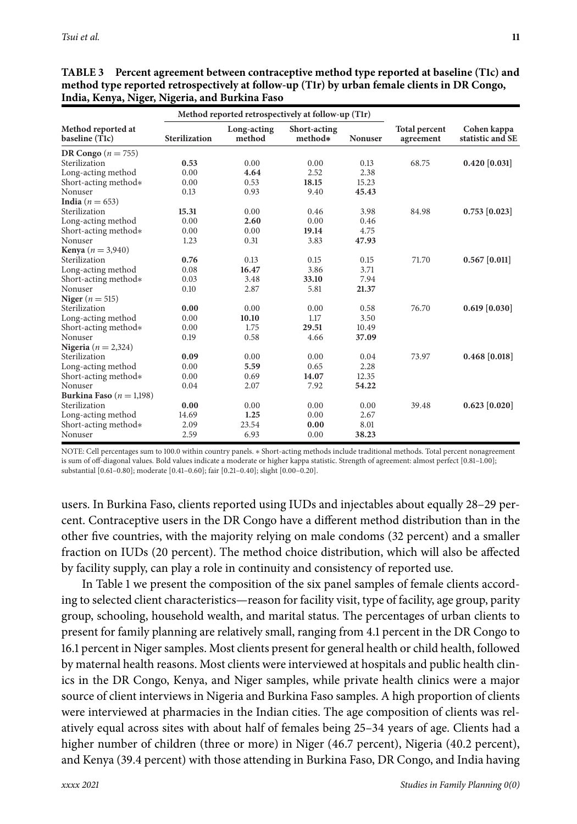|                                      |               | Method reported retrospectively at follow-up (T1r) |                         |                |                                   |                                 |
|--------------------------------------|---------------|----------------------------------------------------|-------------------------|----------------|-----------------------------------|---------------------------------|
| Method reported at<br>baseline (T1c) | Sterilization | Long-acting<br>method                              | Short-acting<br>method* | <b>Nonuser</b> | <b>Total percent</b><br>agreement | Cohen kappa<br>statistic and SE |
| DR Congo $(n = 755)$                 |               |                                                    |                         |                |                                   |                                 |
| Sterilization                        | 0.53          | 0.00                                               | 0.00                    | 0.13           | 68.75                             | $0.420$ [0.031]                 |
| Long-acting method                   | 0.00          | 4.64                                               | 2.52                    | 2.38           |                                   |                                 |
| Short-acting method*                 | 0.00          | 0.53                                               | 18.15                   | 15.23          |                                   |                                 |
| Nonuser                              | 0.13          | 0.93                                               | 9.40                    | 45.43          |                                   |                                 |
| India ( $n = 653$ )                  |               |                                                    |                         |                |                                   |                                 |
| Sterilization                        | 15.31         | 0.00                                               | 0.46                    | 3.98           | 84.98                             | $0.753$ [0.023]                 |
| Long-acting method                   | 0.00          | 2.60                                               | 0.00                    | 0.46           |                                   |                                 |
| Short-acting method*                 | 0.00          | 0.00                                               | 19.14                   | 4.75           |                                   |                                 |
| Nonuser                              | 1.23          | 0.31                                               | 3.83                    | 47.93          |                                   |                                 |
| <b>Kenya</b> ( $n = 3,940$ )         |               |                                                    |                         |                |                                   |                                 |
| Sterilization                        | 0.76          | 0.13                                               | 0.15                    | 0.15           | 71.70                             | $0.567$ [0.011]                 |
| Long-acting method                   | 0.08          | 16.47                                              | 3.86                    | 3.71           |                                   |                                 |
| Short-acting method*                 | 0.03          | 3.48                                               | 33.10                   | 7.94           |                                   |                                 |
| Nonuser                              | 0.10          | 2.87                                               | 5.81                    | 21.37          |                                   |                                 |
| Niger ( $n = 515$ )                  |               |                                                    |                         |                |                                   |                                 |
| Sterilization                        | 0.00          | 0.00                                               | 0.00                    | 0.58           | 76.70                             | $0.619$ [0.030]                 |
| Long-acting method                   | 0.00          | 10.10                                              | 1.17                    | 3.50           |                                   |                                 |
| Short-acting method*                 | 0.00          | 1.75                                               | 29.51                   | 10.49          |                                   |                                 |
| Nonuser                              | 0.19          | 0.58                                               | 4.66                    | 37.09          |                                   |                                 |
| Nigeria ( $n = 2,324$ )              |               |                                                    |                         |                |                                   |                                 |
| Sterilization                        | 0.09          | 0.00                                               | 0.00                    | 0.04           | 73.97                             | $0.468$ [0.018]                 |
| Long-acting method                   | 0.00          | 5.59                                               | 0.65                    | 2.28           |                                   |                                 |
| Short-acting method*                 | 0.00          | 0.69                                               | 14.07                   | 12.35          |                                   |                                 |
| Nonuser                              | 0.04          | 2.07                                               | 7.92                    | 54.22          |                                   |                                 |
| Burkina Faso $(n = 1,198)$           |               |                                                    |                         |                |                                   |                                 |
| Sterilization                        | 0.00          | 0.00                                               | 0.00                    | 0.00           | 39.48                             | $0.623$ [0.020]                 |
| Long-acting method                   | 14.69         | 1.25                                               | 0.00                    | 2.67           |                                   |                                 |
| Short-acting method*                 | 2.09          | 23.54                                              | 0.00                    | 8.01           |                                   |                                 |
| Nonuser                              | 2.59          | 6.93                                               | 0.00                    | 38.23          |                                   |                                 |

| TABLE 3 Percent agreement between contraceptive method type reported at baseline (T1c) and   |
|----------------------------------------------------------------------------------------------|
| method type reported retrospectively at follow-up (T1r) by urban female clients in DR Congo, |
| India, Kenya, Niger, Nigeria, and Burkina Faso                                               |

NOTE: Cell percentages sum to 100.0 within country panels. ∗ Short-acting methods include traditional methods. Total percent nonagreement is sum of off-diagonal values. Bold values indicate a moderate or higher kappa statistic. Strength of agreement: almost perfect [0.81–1.00]; substantial [0.61–0.80]; moderate [0.41–0.60]; fair [0.21–0.40]; slight [0.00–0.20].

users. In Burkina Faso, clients reported using IUDs and injectables about equally 28–29 percent. Contraceptive users in the DR Congo have a different method distribution than in the other five countries, with the majority relying on male condoms (32 percent) and a smaller fraction on IUDs (20 percent). The method choice distribution, which will also be affected by facility supply, can play a role in continuity and consistency of reported use.

In Table 1 we present the composition of the six panel samples of female clients according to selected client characteristics—reason for facility visit, type of facility, age group, parity group, schooling, household wealth, and marital status. The percentages of urban clients to present for family planning are relatively small, ranging from 4.1 percent in the DR Congo to 16.1 percent in Niger samples. Most clients present for general health or child health, followed by maternal health reasons. Most clients were interviewed at hospitals and public health clinics in the DR Congo, Kenya, and Niger samples, while private health clinics were a major source of client interviews in Nigeria and Burkina Faso samples. A high proportion of clients were interviewed at pharmacies in the Indian cities. The age composition of clients was relatively equal across sites with about half of females being 25–34 years of age. Clients had a higher number of children (three or more) in Niger (46.7 percent), Nigeria (40.2 percent), and Kenya (39.4 percent) with those attending in Burkina Faso, DR Congo, and India having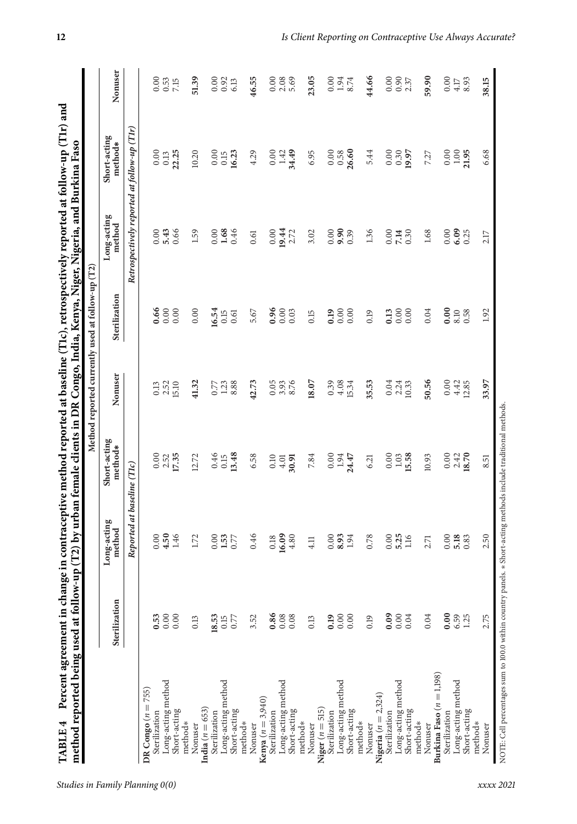| Retrospectively reported at follow-up (TIr)<br>Long-acting<br>$% \left\vert \phi _{0}\right\rangle _{0}=0$ method<br>6.09<br>0.00<br>5.43<br>0.66<br>1.68<br>0.46<br>0.00<br>9.90<br>1.68<br>0.00<br>1.59<br>0.00<br>0.00<br>0.39<br>1.36<br>0.00<br>19.44<br>2.72<br>3.02<br>7.14<br>0.30<br>0.25<br>0.61<br>2.17<br>Sterilization<br>0.96<br>0.66<br>0.00<br>0.00<br>0.00<br>0.00<br>16.54<br>0.00<br>0.04<br>5.67<br>0.03<br>0.19<br>8.10<br>0.58<br>1.92<br>0.13<br>0.15<br>0.15<br>0.19<br>0.61<br>Nonuser<br>50.56<br>33.97<br>41.32<br>8.88<br>42.73<br>3.93<br>8.76<br>18.07<br>4.08<br>35.53<br>0.00<br>2.52<br>1.23<br>0.05<br>0.39<br>0.04<br>4.42<br>12.85<br>15.10<br>15.34<br>2.24<br>10.33<br>0.13<br>0.77<br>Short-acting<br>method*<br>13.48<br>$0.00$<br>$2.52$<br>$17.35$<br>0.00<br>0.46<br>7.84<br>0.00<br>1.94<br>24.47<br>0.00<br>1.03<br>15.58<br>18.70<br>6.58<br>10.93<br>2.42<br>12.72<br>0.15<br>0.10<br>4.01<br>30.91<br>8.51<br>6.21<br>Reported at baseline (TIc)<br>Long-acting<br>method<br>4.50<br>1.46<br>0.46<br>16.09<br>8.93<br>5.25<br>2.50<br>4.80<br>0.00<br>1.53<br>0.00<br>1.94<br>0.00<br>0.00<br>5.18<br>1.72<br>0.00<br>0.77<br>0.78<br>0.83<br>0.18<br>1.16<br>2.71<br>4.11<br>Sterilization<br>$0.86$<br>0.08<br>0.09<br>0.00<br>0.04<br>0.53<br>0.00<br>0.00<br>0.00<br>0.04<br>6.59<br>1.25<br>2.75<br>18.53<br>0.77<br>3.52<br>0.19<br>0.15<br>0.19<br>0.13<br>0.13<br>Burkina Faso $(n = 1,198)$<br>Long-acting method<br>Long-acting method<br>Long-acting method<br>Long-acting method<br>Long-acting method<br>Long-acting method<br>DR $Congo (n = 755)$<br>Nigeria $(n = 2, 324)$<br><b>Kenya</b> ( $n = 3,940$ )<br>Niger $(n = 515)$<br>India $(n = 653)$<br>Short-acting<br>Short-acting<br>Short-acting<br>Short-acting<br>Short-acting<br>Short-acting<br>Sterilization<br>Sterilization<br>Sterilization<br>Sterilization<br>Sterilization<br>Sterilization<br>method*<br>method*<br>method*<br>method*<br>method*<br>method*<br>Nonuser<br>Nonuser<br>Nonuser<br>Nonuser<br>Nonuser<br>Nonuser |  |  | Method reported currently used at follow-up (T2) |                         |                |
|----------------------------------------------------------------------------------------------------------------------------------------------------------------------------------------------------------------------------------------------------------------------------------------------------------------------------------------------------------------------------------------------------------------------------------------------------------------------------------------------------------------------------------------------------------------------------------------------------------------------------------------------------------------------------------------------------------------------------------------------------------------------------------------------------------------------------------------------------------------------------------------------------------------------------------------------------------------------------------------------------------------------------------------------------------------------------------------------------------------------------------------------------------------------------------------------------------------------------------------------------------------------------------------------------------------------------------------------------------------------------------------------------------------------------------------------------------------------------------------------------------------------------------------------------------------------------------------------------------------------------------------------------------------------------------------------------------------------------------------------------------------------------------------------------------------------------------------------------------------------------------------------------------------------------------------------------------------------------------------------------------------------------------------------------------------|--|--|--------------------------------------------------|-------------------------|----------------|
|                                                                                                                                                                                                                                                                                                                                                                                                                                                                                                                                                                                                                                                                                                                                                                                                                                                                                                                                                                                                                                                                                                                                                                                                                                                                                                                                                                                                                                                                                                                                                                                                                                                                                                                                                                                                                                                                                                                                                                                                                                                                |  |  |                                                  | Short-acting<br>method* | Nonuser        |
|                                                                                                                                                                                                                                                                                                                                                                                                                                                                                                                                                                                                                                                                                                                                                                                                                                                                                                                                                                                                                                                                                                                                                                                                                                                                                                                                                                                                                                                                                                                                                                                                                                                                                                                                                                                                                                                                                                                                                                                                                                                                |  |  |                                                  |                         |                |
|                                                                                                                                                                                                                                                                                                                                                                                                                                                                                                                                                                                                                                                                                                                                                                                                                                                                                                                                                                                                                                                                                                                                                                                                                                                                                                                                                                                                                                                                                                                                                                                                                                                                                                                                                                                                                                                                                                                                                                                                                                                                |  |  |                                                  |                         |                |
|                                                                                                                                                                                                                                                                                                                                                                                                                                                                                                                                                                                                                                                                                                                                                                                                                                                                                                                                                                                                                                                                                                                                                                                                                                                                                                                                                                                                                                                                                                                                                                                                                                                                                                                                                                                                                                                                                                                                                                                                                                                                |  |  |                                                  | 0.00                    |                |
|                                                                                                                                                                                                                                                                                                                                                                                                                                                                                                                                                                                                                                                                                                                                                                                                                                                                                                                                                                                                                                                                                                                                                                                                                                                                                                                                                                                                                                                                                                                                                                                                                                                                                                                                                                                                                                                                                                                                                                                                                                                                |  |  |                                                  | $0.13\,$                |                |
|                                                                                                                                                                                                                                                                                                                                                                                                                                                                                                                                                                                                                                                                                                                                                                                                                                                                                                                                                                                                                                                                                                                                                                                                                                                                                                                                                                                                                                                                                                                                                                                                                                                                                                                                                                                                                                                                                                                                                                                                                                                                |  |  |                                                  | 22.25                   | 7.15           |
|                                                                                                                                                                                                                                                                                                                                                                                                                                                                                                                                                                                                                                                                                                                                                                                                                                                                                                                                                                                                                                                                                                                                                                                                                                                                                                                                                                                                                                                                                                                                                                                                                                                                                                                                                                                                                                                                                                                                                                                                                                                                |  |  |                                                  | 10.20                   | 51.39          |
|                                                                                                                                                                                                                                                                                                                                                                                                                                                                                                                                                                                                                                                                                                                                                                                                                                                                                                                                                                                                                                                                                                                                                                                                                                                                                                                                                                                                                                                                                                                                                                                                                                                                                                                                                                                                                                                                                                                                                                                                                                                                |  |  |                                                  |                         |                |
|                                                                                                                                                                                                                                                                                                                                                                                                                                                                                                                                                                                                                                                                                                                                                                                                                                                                                                                                                                                                                                                                                                                                                                                                                                                                                                                                                                                                                                                                                                                                                                                                                                                                                                                                                                                                                                                                                                                                                                                                                                                                |  |  |                                                  | 0.00                    | 0.00           |
|                                                                                                                                                                                                                                                                                                                                                                                                                                                                                                                                                                                                                                                                                                                                                                                                                                                                                                                                                                                                                                                                                                                                                                                                                                                                                                                                                                                                                                                                                                                                                                                                                                                                                                                                                                                                                                                                                                                                                                                                                                                                |  |  |                                                  | 0.15                    | 0.92           |
|                                                                                                                                                                                                                                                                                                                                                                                                                                                                                                                                                                                                                                                                                                                                                                                                                                                                                                                                                                                                                                                                                                                                                                                                                                                                                                                                                                                                                                                                                                                                                                                                                                                                                                                                                                                                                                                                                                                                                                                                                                                                |  |  |                                                  | 16.23                   | 6.13           |
|                                                                                                                                                                                                                                                                                                                                                                                                                                                                                                                                                                                                                                                                                                                                                                                                                                                                                                                                                                                                                                                                                                                                                                                                                                                                                                                                                                                                                                                                                                                                                                                                                                                                                                                                                                                                                                                                                                                                                                                                                                                                |  |  |                                                  |                         |                |
|                                                                                                                                                                                                                                                                                                                                                                                                                                                                                                                                                                                                                                                                                                                                                                                                                                                                                                                                                                                                                                                                                                                                                                                                                                                                                                                                                                                                                                                                                                                                                                                                                                                                                                                                                                                                                                                                                                                                                                                                                                                                |  |  |                                                  | 4.29                    | 46.55          |
|                                                                                                                                                                                                                                                                                                                                                                                                                                                                                                                                                                                                                                                                                                                                                                                                                                                                                                                                                                                                                                                                                                                                                                                                                                                                                                                                                                                                                                                                                                                                                                                                                                                                                                                                                                                                                                                                                                                                                                                                                                                                |  |  |                                                  |                         |                |
|                                                                                                                                                                                                                                                                                                                                                                                                                                                                                                                                                                                                                                                                                                                                                                                                                                                                                                                                                                                                                                                                                                                                                                                                                                                                                                                                                                                                                                                                                                                                                                                                                                                                                                                                                                                                                                                                                                                                                                                                                                                                |  |  |                                                  | 0.00                    | 0.00           |
|                                                                                                                                                                                                                                                                                                                                                                                                                                                                                                                                                                                                                                                                                                                                                                                                                                                                                                                                                                                                                                                                                                                                                                                                                                                                                                                                                                                                                                                                                                                                                                                                                                                                                                                                                                                                                                                                                                                                                                                                                                                                |  |  |                                                  | 1.42                    | $2.08$<br>5.69 |
|                                                                                                                                                                                                                                                                                                                                                                                                                                                                                                                                                                                                                                                                                                                                                                                                                                                                                                                                                                                                                                                                                                                                                                                                                                                                                                                                                                                                                                                                                                                                                                                                                                                                                                                                                                                                                                                                                                                                                                                                                                                                |  |  |                                                  | 34.49                   |                |
|                                                                                                                                                                                                                                                                                                                                                                                                                                                                                                                                                                                                                                                                                                                                                                                                                                                                                                                                                                                                                                                                                                                                                                                                                                                                                                                                                                                                                                                                                                                                                                                                                                                                                                                                                                                                                                                                                                                                                                                                                                                                |  |  |                                                  |                         |                |
|                                                                                                                                                                                                                                                                                                                                                                                                                                                                                                                                                                                                                                                                                                                                                                                                                                                                                                                                                                                                                                                                                                                                                                                                                                                                                                                                                                                                                                                                                                                                                                                                                                                                                                                                                                                                                                                                                                                                                                                                                                                                |  |  |                                                  | 6.95                    | 23.05          |
|                                                                                                                                                                                                                                                                                                                                                                                                                                                                                                                                                                                                                                                                                                                                                                                                                                                                                                                                                                                                                                                                                                                                                                                                                                                                                                                                                                                                                                                                                                                                                                                                                                                                                                                                                                                                                                                                                                                                                                                                                                                                |  |  |                                                  |                         |                |
|                                                                                                                                                                                                                                                                                                                                                                                                                                                                                                                                                                                                                                                                                                                                                                                                                                                                                                                                                                                                                                                                                                                                                                                                                                                                                                                                                                                                                                                                                                                                                                                                                                                                                                                                                                                                                                                                                                                                                                                                                                                                |  |  |                                                  | 0.00                    | 0.00           |
|                                                                                                                                                                                                                                                                                                                                                                                                                                                                                                                                                                                                                                                                                                                                                                                                                                                                                                                                                                                                                                                                                                                                                                                                                                                                                                                                                                                                                                                                                                                                                                                                                                                                                                                                                                                                                                                                                                                                                                                                                                                                |  |  |                                                  | 0.58                    | 1.94           |
|                                                                                                                                                                                                                                                                                                                                                                                                                                                                                                                                                                                                                                                                                                                                                                                                                                                                                                                                                                                                                                                                                                                                                                                                                                                                                                                                                                                                                                                                                                                                                                                                                                                                                                                                                                                                                                                                                                                                                                                                                                                                |  |  |                                                  | 26.60                   | 8.74           |
|                                                                                                                                                                                                                                                                                                                                                                                                                                                                                                                                                                                                                                                                                                                                                                                                                                                                                                                                                                                                                                                                                                                                                                                                                                                                                                                                                                                                                                                                                                                                                                                                                                                                                                                                                                                                                                                                                                                                                                                                                                                                |  |  |                                                  |                         |                |
|                                                                                                                                                                                                                                                                                                                                                                                                                                                                                                                                                                                                                                                                                                                                                                                                                                                                                                                                                                                                                                                                                                                                                                                                                                                                                                                                                                                                                                                                                                                                                                                                                                                                                                                                                                                                                                                                                                                                                                                                                                                                |  |  |                                                  | 5.44                    | 44.66          |
|                                                                                                                                                                                                                                                                                                                                                                                                                                                                                                                                                                                                                                                                                                                                                                                                                                                                                                                                                                                                                                                                                                                                                                                                                                                                                                                                                                                                                                                                                                                                                                                                                                                                                                                                                                                                                                                                                                                                                                                                                                                                |  |  |                                                  |                         |                |
|                                                                                                                                                                                                                                                                                                                                                                                                                                                                                                                                                                                                                                                                                                                                                                                                                                                                                                                                                                                                                                                                                                                                                                                                                                                                                                                                                                                                                                                                                                                                                                                                                                                                                                                                                                                                                                                                                                                                                                                                                                                                |  |  |                                                  | 0.00                    | 0.00           |
|                                                                                                                                                                                                                                                                                                                                                                                                                                                                                                                                                                                                                                                                                                                                                                                                                                                                                                                                                                                                                                                                                                                                                                                                                                                                                                                                                                                                                                                                                                                                                                                                                                                                                                                                                                                                                                                                                                                                                                                                                                                                |  |  |                                                  | 0.30                    | 0.90           |
|                                                                                                                                                                                                                                                                                                                                                                                                                                                                                                                                                                                                                                                                                                                                                                                                                                                                                                                                                                                                                                                                                                                                                                                                                                                                                                                                                                                                                                                                                                                                                                                                                                                                                                                                                                                                                                                                                                                                                                                                                                                                |  |  |                                                  | 19.97                   | 2.37           |
|                                                                                                                                                                                                                                                                                                                                                                                                                                                                                                                                                                                                                                                                                                                                                                                                                                                                                                                                                                                                                                                                                                                                                                                                                                                                                                                                                                                                                                                                                                                                                                                                                                                                                                                                                                                                                                                                                                                                                                                                                                                                |  |  |                                                  |                         |                |
|                                                                                                                                                                                                                                                                                                                                                                                                                                                                                                                                                                                                                                                                                                                                                                                                                                                                                                                                                                                                                                                                                                                                                                                                                                                                                                                                                                                                                                                                                                                                                                                                                                                                                                                                                                                                                                                                                                                                                                                                                                                                |  |  |                                                  | 7.27                    | 59.90          |
|                                                                                                                                                                                                                                                                                                                                                                                                                                                                                                                                                                                                                                                                                                                                                                                                                                                                                                                                                                                                                                                                                                                                                                                                                                                                                                                                                                                                                                                                                                                                                                                                                                                                                                                                                                                                                                                                                                                                                                                                                                                                |  |  |                                                  |                         |                |
|                                                                                                                                                                                                                                                                                                                                                                                                                                                                                                                                                                                                                                                                                                                                                                                                                                                                                                                                                                                                                                                                                                                                                                                                                                                                                                                                                                                                                                                                                                                                                                                                                                                                                                                                                                                                                                                                                                                                                                                                                                                                |  |  |                                                  | 0.00                    | 0.00           |
|                                                                                                                                                                                                                                                                                                                                                                                                                                                                                                                                                                                                                                                                                                                                                                                                                                                                                                                                                                                                                                                                                                                                                                                                                                                                                                                                                                                                                                                                                                                                                                                                                                                                                                                                                                                                                                                                                                                                                                                                                                                                |  |  |                                                  | $1.00\,$                | 4.17           |
|                                                                                                                                                                                                                                                                                                                                                                                                                                                                                                                                                                                                                                                                                                                                                                                                                                                                                                                                                                                                                                                                                                                                                                                                                                                                                                                                                                                                                                                                                                                                                                                                                                                                                                                                                                                                                                                                                                                                                                                                                                                                |  |  |                                                  | 21.95                   | 8.93           |
|                                                                                                                                                                                                                                                                                                                                                                                                                                                                                                                                                                                                                                                                                                                                                                                                                                                                                                                                                                                                                                                                                                                                                                                                                                                                                                                                                                                                                                                                                                                                                                                                                                                                                                                                                                                                                                                                                                                                                                                                                                                                |  |  |                                                  |                         |                |
|                                                                                                                                                                                                                                                                                                                                                                                                                                                                                                                                                                                                                                                                                                                                                                                                                                                                                                                                                                                                                                                                                                                                                                                                                                                                                                                                                                                                                                                                                                                                                                                                                                                                                                                                                                                                                                                                                                                                                                                                                                                                |  |  |                                                  | 6.68                    | 38.15          |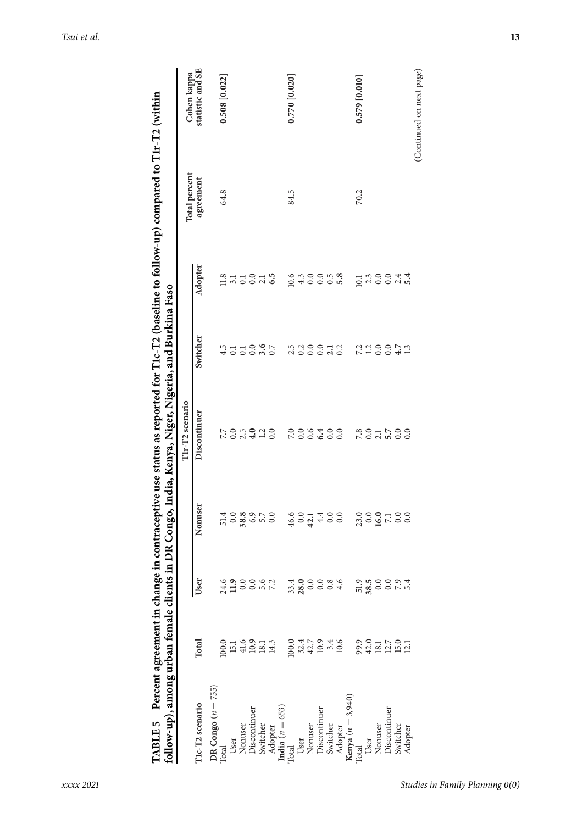| follow-up), among urban female client |                                                                                                                                                                                                                                                                   |                                     |                                                     | s in DR Congo, India, Kenya, Niger, Nigeria, and Burkina Faso |          |                                                                                                                                                          | IABLE 5 Percent agreement in change in contraceptive use status as reported for T1c-T2 (baseline to follow-up) compared to T1r-T2 (within |                          |
|---------------------------------------|-------------------------------------------------------------------------------------------------------------------------------------------------------------------------------------------------------------------------------------------------------------------|-------------------------------------|-----------------------------------------------------|---------------------------------------------------------------|----------|----------------------------------------------------------------------------------------------------------------------------------------------------------|-------------------------------------------------------------------------------------------------------------------------------------------|--------------------------|
|                                       |                                                                                                                                                                                                                                                                   |                                     |                                                     | T1r-T2 scenario                                               |          |                                                                                                                                                          | <b>Total percent</b>                                                                                                                      | Cohen kappa              |
| T1c-T2 scenario                       | Total                                                                                                                                                                                                                                                             | $\overline{\mathsf{L}\mathsf{set}}$ | Nonuser                                             | Discontinuer                                                  | Switcher | Adopter                                                                                                                                                  | agreement                                                                                                                                 | statistic and SE         |
| DR Congo $(n = 755)$                  |                                                                                                                                                                                                                                                                   |                                     |                                                     |                                                               |          |                                                                                                                                                          |                                                                                                                                           |                          |
| Total                                 | 100.0                                                                                                                                                                                                                                                             |                                     |                                                     |                                                               |          |                                                                                                                                                          | 64.8                                                                                                                                      | $0.508$ [0.022]          |
| User                                  |                                                                                                                                                                                                                                                                   |                                     |                                                     |                                                               |          |                                                                                                                                                          |                                                                                                                                           |                          |
| Nonuser                               | $15.409$<br>$19.313$<br>$14.3$                                                                                                                                                                                                                                    |                                     | 5089000 9014000                                     | 7. 0. 10 9 11 0.<br>7. 0. 10 9 11 0.                          | 455385   | $\frac{3}{4}$ $\frac{3}{4}$ $\frac{3}{5}$ $\frac{3}{6}$ $\frac{3}{4}$ $\frac{3}{6}$                                                                      |                                                                                                                                           |                          |
| Discontinuer                          |                                                                                                                                                                                                                                                                   |                                     |                                                     |                                                               |          |                                                                                                                                                          |                                                                                                                                           |                          |
| Switcher                              |                                                                                                                                                                                                                                                                   |                                     |                                                     |                                                               |          |                                                                                                                                                          |                                                                                                                                           |                          |
| Adopter                               |                                                                                                                                                                                                                                                                   |                                     |                                                     |                                                               |          |                                                                                                                                                          |                                                                                                                                           |                          |
| India $(n = 653)$                     |                                                                                                                                                                                                                                                                   |                                     |                                                     |                                                               |          |                                                                                                                                                          |                                                                                                                                           |                          |
| Total                                 |                                                                                                                                                                                                                                                                   |                                     |                                                     |                                                               |          |                                                                                                                                                          | 84.5                                                                                                                                      | 0.770 [0.020]            |
| User                                  |                                                                                                                                                                                                                                                                   |                                     |                                                     |                                                               |          |                                                                                                                                                          |                                                                                                                                           |                          |
| Nonuser                               | $\begin{array}{c} 0.0000\\ 0.0000\\ 0.0000\\ 0.0000\\ 0.0000\\ 0.0000\\ 0.0000\\ 0.0000\\ 0.0000\\ 0.0000\\ 0.0000\\ 0.0000\\ 0.0000\\ 0.0000\\ 0.0000\\ 0.0000\\ 0.0000\\ 0.0000\\ 0.0000\\ 0.0000\\ 0.0000\\ 0.0000\\ 0.0000\\ 0.0000\\ 0.0000\\ 0.0000\\ 0.00$ | 3800086                             |                                                     |                                                               | 338873   | 0.400000000                                                                                                                                              |                                                                                                                                           |                          |
| Discontinuer<br>Switcher              |                                                                                                                                                                                                                                                                   |                                     |                                                     |                                                               |          |                                                                                                                                                          |                                                                                                                                           |                          |
|                                       |                                                                                                                                                                                                                                                                   |                                     |                                                     |                                                               |          |                                                                                                                                                          |                                                                                                                                           |                          |
| Adopter                               |                                                                                                                                                                                                                                                                   |                                     |                                                     |                                                               |          |                                                                                                                                                          |                                                                                                                                           |                          |
| Kenya $(n = 3,940)$                   |                                                                                                                                                                                                                                                                   |                                     |                                                     |                                                               |          |                                                                                                                                                          |                                                                                                                                           |                          |
| Total                                 |                                                                                                                                                                                                                                                                   |                                     | $23.0$<br>$0.0$<br>$0.0$<br>$0.0$<br>$0.0$<br>$0.0$ |                                                               |          |                                                                                                                                                          | 70.2                                                                                                                                      | $0.579$ [0.010]          |
| User                                  |                                                                                                                                                                                                                                                                   |                                     |                                                     | 2001200                                                       | 7.188112 | $\Xi$ $\stackrel{2}{\sim}$ $\stackrel{2}{\sim}$ $\stackrel{2}{\sim}$ $\stackrel{3}{\sim}$ $\stackrel{3}{\sim}$ $\stackrel{4}{\sim}$ $\stackrel{4}{\sim}$ |                                                                                                                                           |                          |
| Nonuser                               |                                                                                                                                                                                                                                                                   |                                     |                                                     |                                                               |          |                                                                                                                                                          |                                                                                                                                           |                          |
| Discontinuer                          |                                                                                                                                                                                                                                                                   |                                     |                                                     |                                                               |          |                                                                                                                                                          |                                                                                                                                           |                          |
| Switcher                              |                                                                                                                                                                                                                                                                   |                                     |                                                     |                                                               |          |                                                                                                                                                          |                                                                                                                                           |                          |
| Adopter                               |                                                                                                                                                                                                                                                                   |                                     |                                                     |                                                               |          |                                                                                                                                                          |                                                                                                                                           |                          |
|                                       |                                                                                                                                                                                                                                                                   |                                     |                                                     |                                                               |          |                                                                                                                                                          |                                                                                                                                           | (Continued on next page) |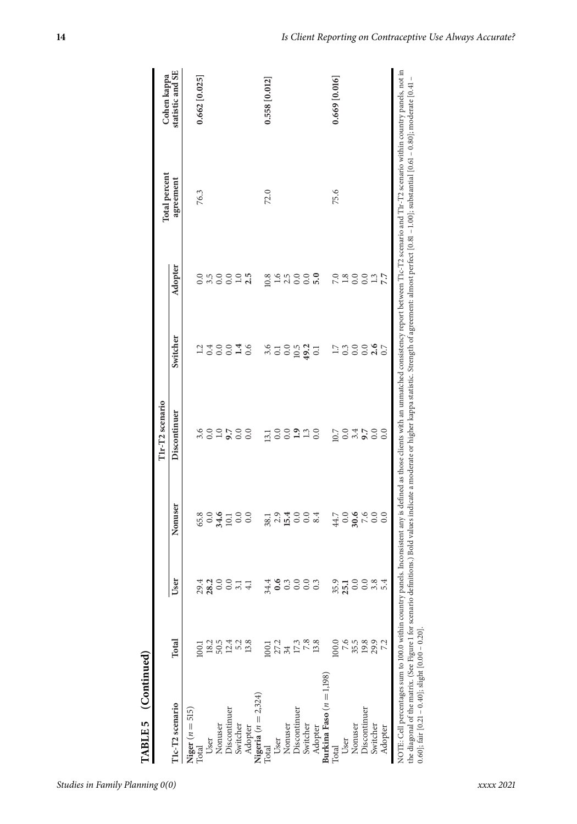| agreement<br>75.6<br>72.0<br>76.3<br>Adopter<br>0.000000<br>7.0<br>1.8<br>0.0<br>3.5<br>0.0<br>0.0<br>2.5<br>1.6<br>0.0<br>10.8<br>2.5<br>Switcher<br>0.0<br>0.4<br>0.0<br>1.4<br>0.6<br>3.6<br>$10.5$<br>49.2<br>$\overline{11}$<br>$0.\overline{3}$<br>12<br>0.0<br>$\overline{c}$<br>$\overline{0}$<br>Discontinuer<br>0.0<br>3.6<br>0.0<br>1.0<br>9.7<br>0.0<br>1.3<br>0.0<br>10.7<br>3.4<br>9.7<br>0.0<br>0.0<br>0.0<br>0.0<br>13.1<br>Nonuser<br>$\frac{1}{8}$ $\frac{3}{4}$ $\frac{4}{9}$ $\frac{3}{9}$ $\frac{3}{8}$ $\frac{4}{9}$ $\frac{3}{8}$ $\frac{4}{9}$ $\frac{3}{8}$ $\frac{4}{9}$<br>$44.7\,$<br>$0.6$<br>$7.6$<br>0.0<br>0.0<br>User<br>29.4<br>28.2<br>$0.0\,$<br>0.0<br>$\frac{31}{41}$<br>34.4<br>0.6<br>0.3<br>0.0<br>0.0<br>0.3<br>35.9<br>25.1<br>0.0<br>$0.0\,$<br>3.8<br>Total<br>7.6<br>100.0<br>35.5<br>29.9<br>18.2<br>50.5<br>13.8<br>27.2<br>13.8<br>19.8<br>12.4<br>17.3<br>1001<br>34<br>T1c-T2 scenario<br>Niger $(n = 515)$<br>Discontinuer<br>Discontinuer<br>Discontinuer<br>Nonuser<br>Nonuser<br>Nonuser<br>Switcher<br>Switcher<br>Switcher<br>Adopter<br>Adopter<br>User<br>User<br>User<br>Total | $0.37$<br>$7.7$<br>0.0<br>0.0<br>0.0<br>0.0<br>0.0<br>5.4<br>Adopter                                                                                                                                                   |  |  | T1r-T2 scenario |  | Total percent | Cohen kappa      |
|--------------------------------------------------------------------------------------------------------------------------------------------------------------------------------------------------------------------------------------------------------------------------------------------------------------------------------------------------------------------------------------------------------------------------------------------------------------------------------------------------------------------------------------------------------------------------------------------------------------------------------------------------------------------------------------------------------------------------------------------------------------------------------------------------------------------------------------------------------------------------------------------------------------------------------------------------------------------------------------------------------------------------------------------------------------------------------------------------------------------------------------------|------------------------------------------------------------------------------------------------------------------------------------------------------------------------------------------------------------------------|--|--|-----------------|--|---------------|------------------|
|                                                                                                                                                                                                                                                                                                                                                                                                                                                                                                                                                                                                                                                                                                                                                                                                                                                                                                                                                                                                                                                                                                                                            |                                                                                                                                                                                                                        |  |  |                 |  |               | statistic and SE |
|                                                                                                                                                                                                                                                                                                                                                                                                                                                                                                                                                                                                                                                                                                                                                                                                                                                                                                                                                                                                                                                                                                                                            |                                                                                                                                                                                                                        |  |  |                 |  |               |                  |
|                                                                                                                                                                                                                                                                                                                                                                                                                                                                                                                                                                                                                                                                                                                                                                                                                                                                                                                                                                                                                                                                                                                                            |                                                                                                                                                                                                                        |  |  |                 |  |               | $0.662$ [0.025]  |
| Nigeria $(n = 2,324)$                                                                                                                                                                                                                                                                                                                                                                                                                                                                                                                                                                                                                                                                                                                                                                                                                                                                                                                                                                                                                                                                                                                      |                                                                                                                                                                                                                        |  |  |                 |  |               |                  |
|                                                                                                                                                                                                                                                                                                                                                                                                                                                                                                                                                                                                                                                                                                                                                                                                                                                                                                                                                                                                                                                                                                                                            |                                                                                                                                                                                                                        |  |  |                 |  |               |                  |
|                                                                                                                                                                                                                                                                                                                                                                                                                                                                                                                                                                                                                                                                                                                                                                                                                                                                                                                                                                                                                                                                                                                                            |                                                                                                                                                                                                                        |  |  |                 |  |               |                  |
|                                                                                                                                                                                                                                                                                                                                                                                                                                                                                                                                                                                                                                                                                                                                                                                                                                                                                                                                                                                                                                                                                                                                            |                                                                                                                                                                                                                        |  |  |                 |  |               |                  |
|                                                                                                                                                                                                                                                                                                                                                                                                                                                                                                                                                                                                                                                                                                                                                                                                                                                                                                                                                                                                                                                                                                                                            |                                                                                                                                                                                                                        |  |  |                 |  |               |                  |
| Burkina Faso $(n = 1,198)$<br>Total                                                                                                                                                                                                                                                                                                                                                                                                                                                                                                                                                                                                                                                                                                                                                                                                                                                                                                                                                                                                                                                                                                        | NOTE: Cell percentages sum to 100.0 within country panels. Inconsistent any is defined as those clients with an unmatched consistency report between Tic-T2 scenario and Tir-T2 scenario within country panels, not in |  |  |                 |  |               |                  |
|                                                                                                                                                                                                                                                                                                                                                                                                                                                                                                                                                                                                                                                                                                                                                                                                                                                                                                                                                                                                                                                                                                                                            |                                                                                                                                                                                                                        |  |  |                 |  |               | $0.558$ [0.012]  |
|                                                                                                                                                                                                                                                                                                                                                                                                                                                                                                                                                                                                                                                                                                                                                                                                                                                                                                                                                                                                                                                                                                                                            |                                                                                                                                                                                                                        |  |  |                 |  |               |                  |
|                                                                                                                                                                                                                                                                                                                                                                                                                                                                                                                                                                                                                                                                                                                                                                                                                                                                                                                                                                                                                                                                                                                                            |                                                                                                                                                                                                                        |  |  |                 |  |               |                  |
|                                                                                                                                                                                                                                                                                                                                                                                                                                                                                                                                                                                                                                                                                                                                                                                                                                                                                                                                                                                                                                                                                                                                            |                                                                                                                                                                                                                        |  |  |                 |  |               |                  |
| Total                                                                                                                                                                                                                                                                                                                                                                                                                                                                                                                                                                                                                                                                                                                                                                                                                                                                                                                                                                                                                                                                                                                                      |                                                                                                                                                                                                                        |  |  |                 |  |               |                  |
|                                                                                                                                                                                                                                                                                                                                                                                                                                                                                                                                                                                                                                                                                                                                                                                                                                                                                                                                                                                                                                                                                                                                            |                                                                                                                                                                                                                        |  |  |                 |  |               |                  |
|                                                                                                                                                                                                                                                                                                                                                                                                                                                                                                                                                                                                                                                                                                                                                                                                                                                                                                                                                                                                                                                                                                                                            |                                                                                                                                                                                                                        |  |  |                 |  |               |                  |
|                                                                                                                                                                                                                                                                                                                                                                                                                                                                                                                                                                                                                                                                                                                                                                                                                                                                                                                                                                                                                                                                                                                                            |                                                                                                                                                                                                                        |  |  |                 |  |               | $0.669$ [0.016]  |
|                                                                                                                                                                                                                                                                                                                                                                                                                                                                                                                                                                                                                                                                                                                                                                                                                                                                                                                                                                                                                                                                                                                                            |                                                                                                                                                                                                                        |  |  |                 |  |               |                  |
|                                                                                                                                                                                                                                                                                                                                                                                                                                                                                                                                                                                                                                                                                                                                                                                                                                                                                                                                                                                                                                                                                                                                            |                                                                                                                                                                                                                        |  |  |                 |  |               |                  |
|                                                                                                                                                                                                                                                                                                                                                                                                                                                                                                                                                                                                                                                                                                                                                                                                                                                                                                                                                                                                                                                                                                                                            |                                                                                                                                                                                                                        |  |  |                 |  |               |                  |
|                                                                                                                                                                                                                                                                                                                                                                                                                                                                                                                                                                                                                                                                                                                                                                                                                                                                                                                                                                                                                                                                                                                                            |                                                                                                                                                                                                                        |  |  |                 |  |               |                  |
|                                                                                                                                                                                                                                                                                                                                                                                                                                                                                                                                                                                                                                                                                                                                                                                                                                                                                                                                                                                                                                                                                                                                            |                                                                                                                                                                                                                        |  |  |                 |  |               |                  |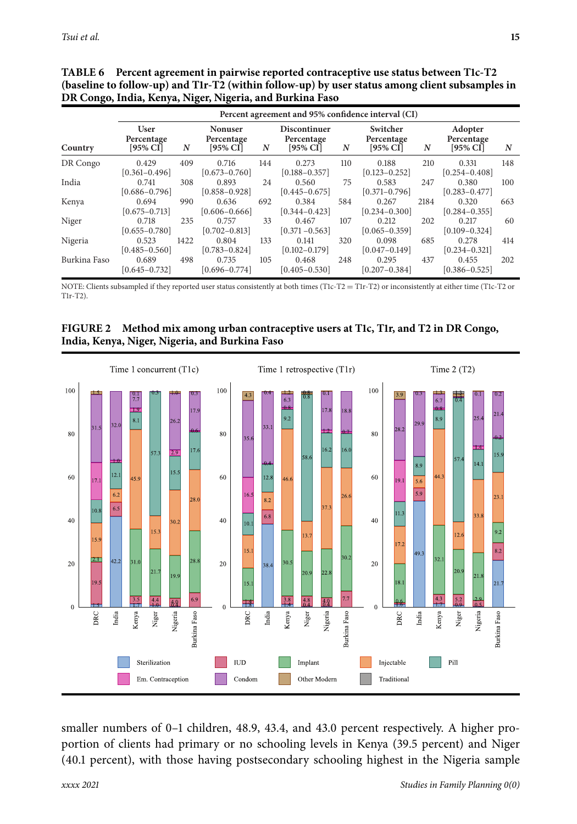|              |                                          |      |                                             |     | Percent agreement and 95% confidence interval (CI) |     |                                       |      |                                      |     |
|--------------|------------------------------------------|------|---------------------------------------------|-----|----------------------------------------------------|-----|---------------------------------------|------|--------------------------------------|-----|
| Country      | <b>User</b><br>Percentage<br>$[95\%$ CI] | N    | <b>Nonuser</b><br>Percentage<br>$[95\%$ CI] | N   | <b>Discontinuer</b><br>Percentage<br>$[95\%$ CI    | N   | Switcher<br>Percentage<br>$[95\%$ CI] | N    | Adopter<br>Percentage<br>$[95\%$ CI] | N   |
| DR Congo     | 0.429<br>$[0.361 - 0.496]$               | 409  | 0.716<br>$[0.673 - 0.760]$                  | 144 | 0.273<br>$[0.188 - 0.357]$                         | 110 | 0.188<br>$[0.123 - 0.252]$            | 210  | 0.331<br>$[0.254 - 0.408]$           | 148 |
| India        | 0.741<br>$[0.686 - 0.796]$               | 308  | 0.893<br>$[0.858 - 0.928]$                  | 24  | 0.560<br>$[0.445 - 0.675]$                         | 75  | 0.583<br>$[0.371 - 0.796]$            | 247  | 0.380<br>$[0.283 - 0.477]$           | 100 |
| Kenya        | 0.694<br>$[0.675 - 0.713]$               | 990  | 0.636<br>$[0.606 - 0.666]$                  | 692 | 0.384<br>$[0.344 - 0.423]$                         | 584 | 0.267<br>$[0.234 - 0.300]$            | 2184 | 0.320<br>$[0.284 - 0.355]$           | 663 |
| Niger        | 0.718<br>$[0.655 - 0.780]$               | 235  | 0.757<br>$[0.702 - 0.813]$                  | 33  | 0.467<br>$[0.371 - 0.563]$                         | 107 | 0.212<br>$[0.065 - 0.359]$            | 202  | 0.217<br>$[0.109 - 0.324]$           | 60  |
| Nigeria      | 0.523<br>$[0.485 - 0.560]$               | 1422 | 0.804<br>$[0.783 - 0.824]$                  | 133 | 0.141<br>$[0.102 - 0.179]$                         | 320 | 0.098<br>$[0.047 - 0.149]$            | 685  | 0.278<br>$[0.234 - 0.321]$           | 414 |
| Burkina Faso | 0.689<br>$[0.645 - 0.732]$               | 498  | 0.735<br>$[0.696 - 0.774]$                  | 105 | 0.468<br>$[0.405 - 0.530]$                         | 248 | 0.295<br>$[0.207 - 0.384]$            | 437  | 0.455<br>$[0.386 - 0.525]$           | 202 |

**TABLE 6** Percent agreement in pairwise reported contraceptive use status between T1c-T2 (baseline to follow-up) and T1r-T2 (within follow-up) by user status among client subsamples in **DR Congo, India, Kenya, Niger, Nigeria, and Burkina Faso**

NOTE: Clients subsampled if they reported user status consistently at both times (T1c-T2 = T1r-T2) or inconsistently at either time (T1c-T2 or T1r-T2).

FIGURE 2 Method mix among urban contraceptive users at T1c, T1r, and T2 in DR Congo, **India, Kenya, Niger, Nigeria, and Burkina Faso**



smaller numbers of 0–1 children, 48.9, 43.4, and 43.0 percent respectively. A higher proportion of clients had primary or no schooling levels in Kenya (39.5 percent) and Niger (40.1 percent), with those having postsecondary schooling highest in the Nigeria sample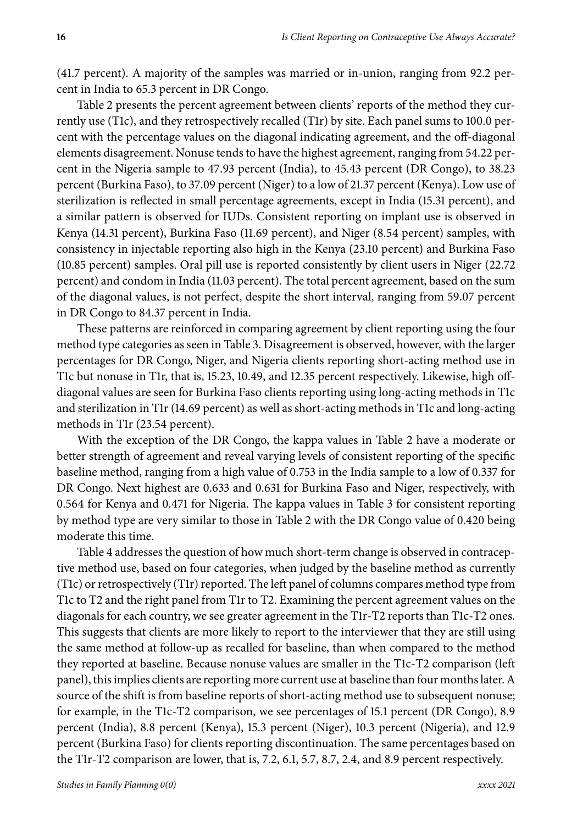(41.7 percent). A majority of the samples was married or in-union, ranging from 92.2 percent in India to 65.3 percent in DR Congo.

Table 2 presents the percent agreement between clients' reports of the method they currently use (T1c), and they retrospectively recalled (T1r) by site. Each panel sums to 100.0 percent with the percentage values on the diagonal indicating agreement, and the off-diagonal elements disagreement. Nonuse tends to have the highest agreement, ranging from 54.22 percent in the Nigeria sample to 47.93 percent (India), to 45.43 percent (DR Congo), to 38.23 percent (Burkina Faso), to 37.09 percent (Niger) to a low of 21.37 percent (Kenya). Low use of sterilization is reflected in small percentage agreements, except in India (15.31 percent), and a similar pattern is observed for IUDs. Consistent reporting on implant use is observed in Kenya (14.31 percent), Burkina Faso (11.69 percent), and Niger (8.54 percent) samples, with consistency in injectable reporting also high in the Kenya (23.10 percent) and Burkina Faso (10.85 percent) samples. Oral pill use is reported consistently by client users in Niger (22.72 percent) and condom in India (11.03 percent). The total percent agreement, based on the sum of the diagonal values, is not perfect, despite the short interval, ranging from 59.07 percent in DR Congo to 84.37 percent in India.

These patterns are reinforced in comparing agreement by client reporting using the four method type categories as seen in Table 3. Disagreement is observed, however, with the larger percentages for DR Congo, Niger, and Nigeria clients reporting short-acting method use in T1c but nonuse in T1r, that is, 15.23, 10.49, and 12.35 percent respectively. Likewise, high offdiagonal values are seen for Burkina Faso clients reporting using long-acting methods in T1c and sterilization in T1r (14.69 percent) as well as short-acting methods in T1c and long-acting methods in T1r (23.54 percent).

With the exception of the DR Congo, the kappa values in Table 2 have a moderate or better strength of agreement and reveal varying levels of consistent reporting of the specific baseline method, ranging from a high value of 0.753 in the India sample to a low of 0.337 for DR Congo. Next highest are 0.633 and 0.631 for Burkina Faso and Niger, respectively, with 0.564 for Kenya and 0.471 for Nigeria. The kappa values in Table 3 for consistent reporting by method type are very similar to those in Table 2 with the DR Congo value of 0.420 being moderate this time.

Table 4 addresses the question of how much short-term change is observed in contraceptive method use, based on four categories, when judged by the baseline method as currently (T1c) or retrospectively (T1r) reported. The left panel of columns compares method type from T1c to T2 and the right panel from T1r to T2. Examining the percent agreement values on the diagonals for each country, we see greater agreement in the T1r-T2 reports than T1c-T2 ones. This suggests that clients are more likely to report to the interviewer that they are still using the same method at follow-up as recalled for baseline, than when compared to the method they reported at baseline. Because nonuse values are smaller in the T1c-T2 comparison (left panel), this implies clients are reporting more current use at baseline than four months later. A source of the shift is from baseline reports of short-acting method use to subsequent nonuse; for example, in the T1c-T2 comparison, we see percentages of 15.1 percent (DR Congo), 8.9 percent (India), 8.8 percent (Kenya), 15.3 percent (Niger), 10.3 percent (Nigeria), and 12.9 percent (Burkina Faso) for clients reporting discontinuation. The same percentages based on the T1r-T2 comparison are lower, that is, 7.2, 6.1, 5.7, 8.7, 2.4, and 8.9 percent respectively.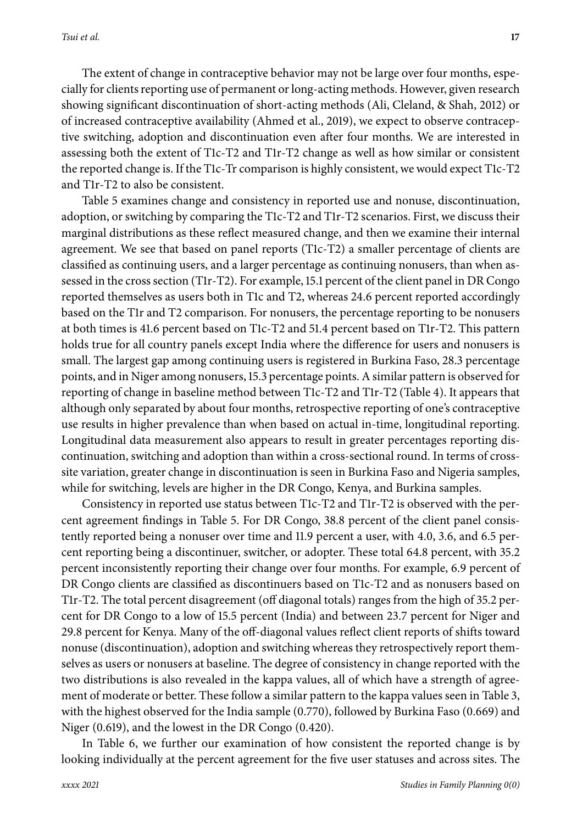The extent of change in contraceptive behavior may not be large over four months, especially for clients reporting use of permanent or long-acting methods. However, given research showing significant discontinuation of short-acting methods (Ali, Cleland, & Shah, 2012) or of increased contraceptive availability (Ahmed et al., 2019), we expect to observe contraceptive switching, adoption and discontinuation even after four months. We are interested in assessing both the extent of T1c-T2 and T1r-T2 change as well as how similar or consistent the reported change is. If the T1c-Tr comparison is highly consistent, we would expect T1c-T2 and T1r-T2 to also be consistent.

Table 5 examines change and consistency in reported use and nonuse, discontinuation, adoption, or switching by comparing the T1c-T2 and T1r-T2 scenarios. First, we discuss their marginal distributions as these reflect measured change, and then we examine their internal agreement. We see that based on panel reports (T1c-T2) a smaller percentage of clients are classified as continuing users, and a larger percentage as continuing nonusers, than when assessed in the cross section (T1r-T2). For example, 15.1 percent of the client panel in DR Congo reported themselves as users both in T1c and T2, whereas 24.6 percent reported accordingly based on the T1r and T2 comparison. For nonusers, the percentage reporting to be nonusers at both times is 41.6 percent based on T1c-T2 and 51.4 percent based on T1r-T2. This pattern holds true for all country panels except India where the difference for users and nonusers is small. The largest gap among continuing users is registered in Burkina Faso, 28.3 percentage points, and in Niger among nonusers, 15.3 percentage points. A similar pattern is observed for reporting of change in baseline method between T1c-T2 and T1r-T2 (Table 4). It appears that although only separated by about four months, retrospective reporting of one's contraceptive use results in higher prevalence than when based on actual in-time, longitudinal reporting. Longitudinal data measurement also appears to result in greater percentages reporting discontinuation, switching and adoption than within a cross-sectional round. In terms of crosssite variation, greater change in discontinuation is seen in Burkina Faso and Nigeria samples, while for switching, levels are higher in the DR Congo, Kenya, and Burkina samples.

Consistency in reported use status between T1c-T2 and T1r-T2 is observed with the percent agreement findings in Table 5. For DR Congo, 38.8 percent of the client panel consistently reported being a nonuser over time and 11.9 percent a user, with 4.0, 3.6, and 6.5 percent reporting being a discontinuer, switcher, or adopter. These total 64.8 percent, with 35.2 percent inconsistently reporting their change over four months. For example, 6.9 percent of DR Congo clients are classified as discontinuers based on T1c-T2 and as nonusers based on T1r-T2. The total percent disagreement (off diagonal totals) ranges from the high of 35.2 percent for DR Congo to a low of 15.5 percent (India) and between 23.7 percent for Niger and 29.8 percent for Kenya. Many of the off-diagonal values reflect client reports of shifts toward nonuse (discontinuation), adoption and switching whereas they retrospectively report themselves as users or nonusers at baseline. The degree of consistency in change reported with the two distributions is also revealed in the kappa values, all of which have a strength of agreement of moderate or better. These follow a similar pattern to the kappa values seen in Table 3, with the highest observed for the India sample (0.770), followed by Burkina Faso (0.669) and Niger (0.619), and the lowest in the DR Congo (0.420).

In Table 6, we further our examination of how consistent the reported change is by looking individually at the percent agreement for the five user statuses and across sites. The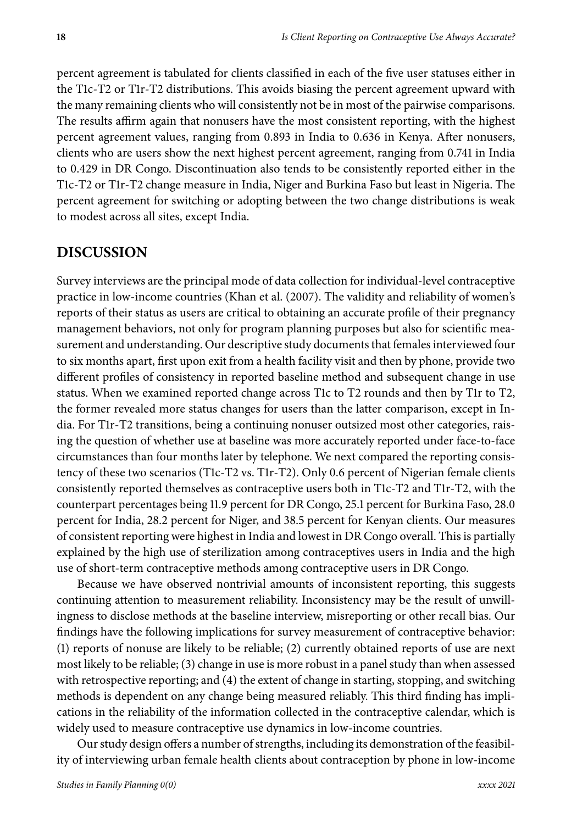percent agreement is tabulated for clients classified in each of the five user statuses either in the T1c-T2 or T1r-T2 distributions. This avoids biasing the percent agreement upward with the many remaining clients who will consistently not be in most of the pairwise comparisons. The results affirm again that nonusers have the most consistent reporting, with the highest percent agreement values, ranging from 0.893 in India to 0.636 in Kenya. After nonusers, clients who are users show the next highest percent agreement, ranging from 0.741 in India to 0.429 in DR Congo. Discontinuation also tends to be consistently reported either in the T1c-T2 or T1r-T2 change measure in India, Niger and Burkina Faso but least in Nigeria. The percent agreement for switching or adopting between the two change distributions is weak to modest across all sites, except India.

#### **DISCUSSION**

Survey interviews are the principal mode of data collection for individual-level contraceptive practice in low-income countries (Khan et al. (2007). The validity and reliability of women's reports of their status as users are critical to obtaining an accurate profile of their pregnancy management behaviors, not only for program planning purposes but also for scientific measurement and understanding. Our descriptive study documents that females interviewed four to six months apart, first upon exit from a health facility visit and then by phone, provide two different profiles of consistency in reported baseline method and subsequent change in use status. When we examined reported change across T1c to T2 rounds and then by T1r to T2, the former revealed more status changes for users than the latter comparison, except in India. For T1r-T2 transitions, being a continuing nonuser outsized most other categories, raising the question of whether use at baseline was more accurately reported under face-to-face circumstances than four months later by telephone. We next compared the reporting consistency of these two scenarios (T1c-T2 vs. T1r-T2). Only 0.6 percent of Nigerian female clients consistently reported themselves as contraceptive users both in T1c-T2 and T1r-T2, with the counterpart percentages being 11.9 percent for DR Congo, 25.1 percent for Burkina Faso, 28.0 percent for India, 28.2 percent for Niger, and 38.5 percent for Kenyan clients. Our measures of consistent reporting were highest in India and lowest in DR Congo overall. This is partially explained by the high use of sterilization among contraceptives users in India and the high use of short-term contraceptive methods among contraceptive users in DR Congo.

Because we have observed nontrivial amounts of inconsistent reporting, this suggests continuing attention to measurement reliability. Inconsistency may be the result of unwillingness to disclose methods at the baseline interview, misreporting or other recall bias. Our findings have the following implications for survey measurement of contraceptive behavior: (1) reports of nonuse are likely to be reliable; (2) currently obtained reports of use are next most likely to be reliable; (3) change in use is more robust in a panel study than when assessed with retrospective reporting; and (4) the extent of change in starting, stopping, and switching methods is dependent on any change being measured reliably. This third finding has implications in the reliability of the information collected in the contraceptive calendar, which is widely used to measure contraceptive use dynamics in low-income countries.

Our study design offers a number of strengths, including its demonstration of the feasibility of interviewing urban female health clients about contraception by phone in low-income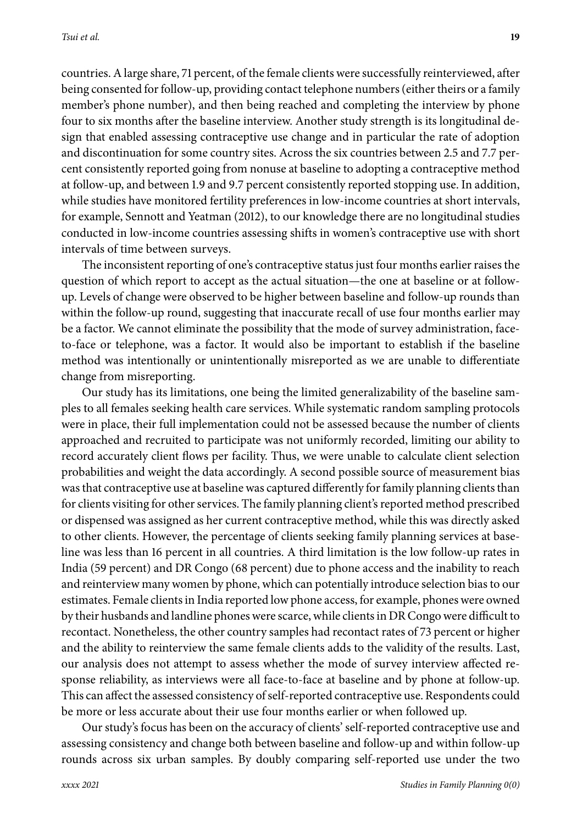countries. A large share, 71 percent, of the female clients were successfully reinterviewed, after being consented for follow-up, providing contact telephone numbers (either theirs or a family member's phone number), and then being reached and completing the interview by phone four to six months after the baseline interview. Another study strength is its longitudinal design that enabled assessing contraceptive use change and in particular the rate of adoption and discontinuation for some country sites. Across the six countries between 2.5 and 7.7 percent consistently reported going from nonuse at baseline to adopting a contraceptive method at follow-up, and between 1.9 and 9.7 percent consistently reported stopping use. In addition, while studies have monitored fertility preferences in low-income countries at short intervals, for example, Sennott and Yeatman (2012), to our knowledge there are no longitudinal studies conducted in low-income countries assessing shifts in women's contraceptive use with short intervals of time between surveys.

The inconsistent reporting of one's contraceptive status just four months earlier raises the question of which report to accept as the actual situation—the one at baseline or at followup. Levels of change were observed to be higher between baseline and follow-up rounds than within the follow-up round, suggesting that inaccurate recall of use four months earlier may be a factor. We cannot eliminate the possibility that the mode of survey administration, faceto-face or telephone, was a factor. It would also be important to establish if the baseline method was intentionally or unintentionally misreported as we are unable to differentiate change from misreporting.

Our study has its limitations, one being the limited generalizability of the baseline samples to all females seeking health care services. While systematic random sampling protocols were in place, their full implementation could not be assessed because the number of clients approached and recruited to participate was not uniformly recorded, limiting our ability to record accurately client flows per facility. Thus, we were unable to calculate client selection probabilities and weight the data accordingly. A second possible source of measurement bias was that contraceptive use at baseline was captured differently for family planning clients than for clients visiting for other services. The family planning client's reported method prescribed or dispensed was assigned as her current contraceptive method, while this was directly asked to other clients. However, the percentage of clients seeking family planning services at baseline was less than 16 percent in all countries. A third limitation is the low follow-up rates in India (59 percent) and DR Congo (68 percent) due to phone access and the inability to reach and reinterview many women by phone, which can potentially introduce selection bias to our estimates. Female clients in India reported low phone access, for example, phones were owned by their husbands and landline phones were scarce, while clients in DR Congo were difficult to recontact. Nonetheless, the other country samples had recontact rates of 73 percent or higher and the ability to reinterview the same female clients adds to the validity of the results. Last, our analysis does not attempt to assess whether the mode of survey interview affected response reliability, as interviews were all face-to-face at baseline and by phone at follow-up. This can affect the assessed consistency of self-reported contraceptive use. Respondents could be more or less accurate about their use four months earlier or when followed up.

Our study's focus has been on the accuracy of clients' self-reported contraceptive use and assessing consistency and change both between baseline and follow-up and within follow-up rounds across six urban samples. By doubly comparing self-reported use under the two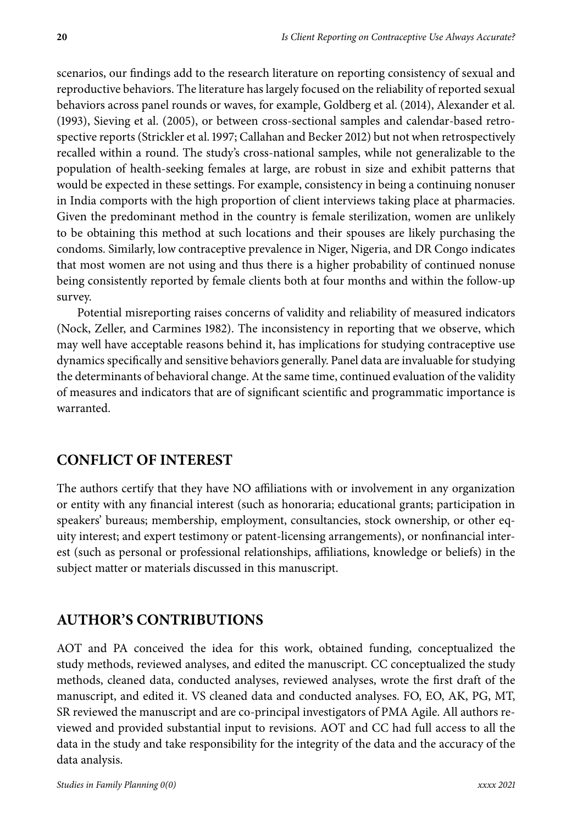scenarios, our findings add to the research literature on reporting consistency of sexual and reproductive behaviors. The literature has largely focused on the reliability of reported sexual behaviors across panel rounds or waves, for example, Goldberg et al. (2014), Alexander et al. (1993), Sieving et al. (2005), or between cross-sectional samples and calendar-based retrospective reports (Strickler et al. 1997; Callahan and Becker 2012) but not when retrospectively recalled within a round. The study's cross-national samples, while not generalizable to the population of health-seeking females at large, are robust in size and exhibit patterns that would be expected in these settings. For example, consistency in being a continuing nonuser in India comports with the high proportion of client interviews taking place at pharmacies. Given the predominant method in the country is female sterilization, women are unlikely to be obtaining this method at such locations and their spouses are likely purchasing the condoms. Similarly, low contraceptive prevalence in Niger, Nigeria, and DR Congo indicates that most women are not using and thus there is a higher probability of continued nonuse being consistently reported by female clients both at four months and within the follow-up survey.

Potential misreporting raises concerns of validity and reliability of measured indicators (Nock, Zeller, and Carmines 1982). The inconsistency in reporting that we observe, which may well have acceptable reasons behind it, has implications for studying contraceptive use dynamics specifically and sensitive behaviors generally. Panel data are invaluable for studying the determinants of behavioral change. At the same time, continued evaluation of the validity of measures and indicators that are of significant scientific and programmatic importance is warranted.

# **CONFLICT OF INTEREST**

The authors certify that they have NO affiliations with or involvement in any organization or entity with any financial interest (such as honoraria; educational grants; participation in speakers' bureaus; membership, employment, consultancies, stock ownership, or other equity interest; and expert testimony or patent-licensing arrangements), or nonfinancial interest (such as personal or professional relationships, affiliations, knowledge or beliefs) in the subject matter or materials discussed in this manuscript.

# **AUTHOR'S CONTRIBUTIONS**

AOT and PA conceived the idea for this work, obtained funding, conceptualized the study methods, reviewed analyses, and edited the manuscript. CC conceptualized the study methods, cleaned data, conducted analyses, reviewed analyses, wrote the first draft of the manuscript, and edited it. VS cleaned data and conducted analyses. FO, EO, AK, PG, MT, SR reviewed the manuscript and are co-principal investigators of PMA Agile. All authors reviewed and provided substantial input to revisions. AOT and CC had full access to all the data in the study and take responsibility for the integrity of the data and the accuracy of the data analysis.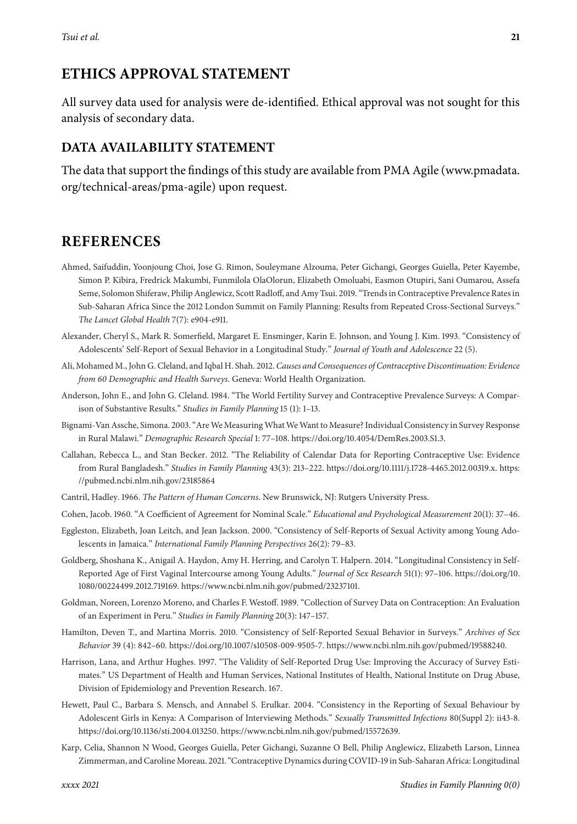# **ETHICS APPROVAL STATEMENT**

All survey data used for analysis were de-identified. Ethical approval was not sought for this analysis of secondary data.

## **DATA AVAILABILITY STATEMENT**

The data that support the findings of this study are available from PMA Agile [\(www.pmadata.](http://www.pmadata.org/technical-areas/pma-agile) [org/technical-areas/pma-agile\)](http://www.pmadata.org/technical-areas/pma-agile) upon request.

## **REFERENCES**

- Ahmed, Saifuddin, Yoonjoung Choi, Jose G. Rimon, Souleymane Alzouma, Peter Gichangi, Georges Guiella, Peter Kayembe, Simon P. Kibira, Fredrick Makumbi, Funmilola OlaOlorun, Elizabeth Omoluabi, Easmon Otupiri, Sani Oumarou, Assefa Seme, Solomon Shiferaw, Philip Anglewicz, Scott Radloff, and Amy Tsui. 2019. "Trends in Contraceptive Prevalence Rates in Sub-Saharan Africa Since the 2012 London Summit on Family Planning: Results from Repeated Cross-Sectional Surveys." *The Lancet Global Health* 7(7): e904-e911.
- Alexander, Cheryl S., Mark R. Somerfield, Margaret E. Ensminger, Karin E. Johnson, and Young J. Kim. 1993. "Consistency of Adolescents' Self-Report of Sexual Behavior in a Longitudinal Study." *Journal of Youth and Adolescence* 22 (5).
- Ali, Mohamed M., John G. Cleland, and Iqbal H. Shah. 2012. *Causes and Consequences of Contraceptive Discontinuation: Evidence from Demographic and Health Surveys*. Geneva: World Health Organization.
- Anderson, John E., and John G. Cleland. 1984. "The World Fertility Survey and Contraceptive Prevalence Surveys: A Comparison of Substantive Results." *Studies in Family Planning* 15 (1): 1–13.
- Bignami-Van Assche, Simona. 2003. "Are We Measuring What We Want to Measure? Individual Consistency in Survey Response in Rural Malawi." *Demographic Research Special* 1: 77–108. [https://doi.org/10.4054/DemRes.2003.S1.3.](https://doi.org/10.4054/DemRes.2003.S1.3)
- Callahan, Rebecca L., and Stan Becker. 2012. "The Reliability of Calendar Data for Reporting Contraceptive Use: Evidence from Rural Bangladesh." *Studies in Family Planning* 43(3): 213–222. [https://doi.org/10.1111/j.1728-4465.2012.00319.x.](https://doi.org/10.1111/j.1728-4465.2012.00319.x) [https:](https://pubmed.ncbi.nlm.nih.gov/23185864) [//pubmed.ncbi.nlm.nih.gov/23185864](https://pubmed.ncbi.nlm.nih.gov/23185864)
- Cantril, Hadley. 1966. *The Pattern of Human Concerns*. New Brunswick, NJ: Rutgers University Press.
- Cohen, Jacob. 1960. "A Coefficient of Agreement for Nominal Scale." *Educational and Psychological Measurement* 20(1): 37–46.
- Eggleston, Elizabeth, Joan Leitch, and Jean Jackson. 2000. "Consistency of Self-Reports of Sexual Activity among Young Adolescents in Jamaica." *International Family Planning Perspectives* 26(2): 79–83.
- Goldberg, Shoshana K., Anigail A. Haydon, Amy H. Herring, and Carolyn T. Halpern. 2014. "Longitudinal Consistency in Self-Reported Age of First Vaginal Intercourse among Young Adults." *Journal of Sex Research* 51(1): 97–106. [https://doi.org/10.](https://doi.org/10.1080/00224499.2012.719169) [1080/00224499.2012.719169.](https://doi.org/10.1080/00224499.2012.719169) [https://www.ncbi.nlm.nih.gov/pubmed/23237101.](https://www.ncbi.nlm.nih.gov/pubmed/23237101)
- Goldman, Noreen, Lorenzo Moreno, and Charles F. Westoff. 1989. "Collection of Survey Data on Contraception: An Evaluation of an Experiment in Peru." *Studies in Family Planning* 20(3): 147–157.
- Hamilton, Deven T., and Martina Morris. 2010. "Consistency of Self-Reported Sexual Behavior in Surveys." *Archives of Sex Behavior* 39 (4): 842–60. [https://doi.org/10.1007/s10508-009-9505-7.](https://doi.org/10.1007/s10508-009-9505-7) [https://www.ncbi.nlm.nih.gov/pubmed/19588240.](https://www.ncbi.nlm.nih.gov/pubmed/19588240)
- Harrison, Lana, and Arthur Hughes. 1997. "The Validity of Self-Reported Drug Use: Improving the Accuracy of Survey Estimates." US Department of Health and Human Services, National Institutes of Health, National Institute on Drug Abuse, Division of Epidemiology and Prevention Research. 167.
- Hewett, Paul C., Barbara S. Mensch, and Annabel S. Erulkar. 2004. "Consistency in the Reporting of Sexual Behaviour by Adolescent Girls in Kenya: A Comparison of Interviewing Methods." *Sexually Transmitted Infections* 80(Suppl 2): ii43-8. [https://doi.org/10.1136/sti.2004.013250.](https://doi.org/10.1136/sti.2004.013250) [https://www.ncbi.nlm.nih.gov/pubmed/15572639.](https://www.ncbi.nlm.nih.gov/pubmed/15572639)
- Karp, Celia, Shannon N Wood, Georges Guiella, Peter Gichangi, Suzanne O Bell, Philip Anglewicz, Elizabeth Larson, Linnea Zimmerman, and Caroline Moreau. 2021. "Contraceptive Dynamics during COVID-19 in Sub-Saharan Africa: Longitudinal